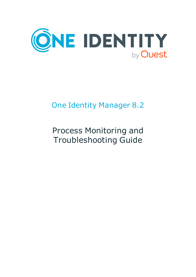

# One Identity Manager 8.2

# Process Monitoring and Troubleshooting Guide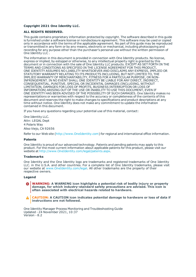#### **Copyright 2021 One Identity LLC.**

#### **ALL RIGHTS RESERVED.**

This guide contains proprietary information protected by copyright. The software described in this guide is furnished under a software license or nondisclosure agreement. This software may be used or copied only in accordance with the terms of the applicable agreement. No part of this guide may be reproduced or transmitted in any form or by any means, electronic or mechanical, including photocopying and recording for any purpose other than the purchaser's personal use without the written permission of One Identity LLC .

The information in this document is provided in connection with One Identity products. No license, express or implied, by estoppel or otherwise, to any intellectual property right is granted by this document or in connection with the sale of One Identity LLC products. EXCEPT AS SET FORTH IN THE TERMS AND CONDITIONS AS SPECIFIED IN THE LICENSE AGREEMENT FOR THIS PRODUCT, ONE IDENTITY ASSUMES NO LIABILITY WHATSOEVER AND DISCLAIMS ANY EXPRESS, IMPLIED OR STATUTORY WARRANTY RELATING TO ITS PRODUCTS INCLUDING, BUT NOT LIMITED TO, THE IMPLIED WARRANTY OF MERCHANTABILITY, FITNESS FOR A PARTICULAR PURPOSE, OR NON-INFRINGEMENT. IN NO EVENT SHALL ONE IDENTITY BE LIABLE FOR ANY DIRECT, INDIRECT, CONSEQUENTIAL, PUNITIVE, SPECIAL OR INCIDENTAL DAMAGES (INCLUDING, WITHOUT LIMITATION, DAMAGES FOR LOSS OF PROFITS, BUSINESS INTERRUPTION OR LOSS OF INFORMATION) ARISING OUT OF THE USE OR INABILITY TO USE THIS DOCUMENT, EVEN IF ONE IDENTITY HAS BEEN ADVISED OF THE POSSIBILITY OF SUCH DAMAGES. One Identity makes no representations or warranties with respect to the accuracy or completeness of the contents of this document and reserves the right to make changes to specifications and product descriptions at any time without notice. One Identity does not make any commitment to update the information contained in this document.

If you have any questions regarding your potential use of this material, contact:

One Identity LLC. Attn: LEGAL Dept 4 Polaris Way Aliso Viejo, CA 92656

Refer to our Web site ([http://www.OneIdentity.com](http://www.oneidentity.com/)) for regional and international office information.

#### **Patents**

One Identity is proud of our advanced technology. Patents and pending patents may apply to this product. For the most current information about applicable patents for this product, please visit our website at [http://www.OneIdentity.com/legal/patents.aspx](http://www.oneidentity.com/legal/patents.aspx).

#### **Trademarks**

One Identity and the One Identity logo are trademarks and registered trademarks of One Identity LLC. in the U.S.A. and other countries. For a complete list of One Identity trademarks, please visit our website at [www.OneIdentity.com/legal](http://www.oneidentity.com/legal). All other trademarks are the property of their respective owners.

#### **Legend**

**WARNING: A WARNING icon highlights a potential risk of bodily injury or property damage, for which industry-standard safety precautions are advised. This icon is often associated with electrical hazards related to hardware.**

**CAUTION: A CAUTION icon indicates potential damage to hardware or loss of data if** A **instructions are not followed.**

One Identity Manager Process Monitoring and Troubleshooting Guide Updated - 24 November 2021, 10:37 Version - 8.2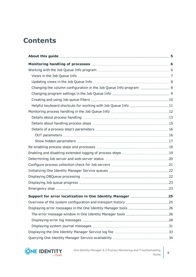# **Contents**

| Helpful keyboard shortcuts for working with Job Queue Info 11 |  |
|---------------------------------------------------------------|--|
|                                                               |  |
|                                                               |  |
|                                                               |  |
|                                                               |  |
|                                                               |  |
|                                                               |  |
|                                                               |  |
|                                                               |  |
|                                                               |  |
|                                                               |  |
|                                                               |  |
|                                                               |  |
|                                                               |  |
|                                                               |  |
| Support for error localization in One Identity Manager 25     |  |
|                                                               |  |
|                                                               |  |
|                                                               |  |
|                                                               |  |
|                                                               |  |
|                                                               |  |
|                                                               |  |



One Identity Manager 8.2 Process Monitoring and Troubleshooting Guide  $\begin{vmatrix} 3 \end{vmatrix}$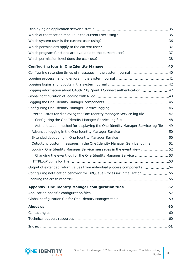| Configuring retention times of messages in the system journal  40                  |    |
|------------------------------------------------------------------------------------|----|
|                                                                                    |    |
|                                                                                    |    |
| Logging information about OAuth 2.0/OpenID Connect authentication 42               |    |
|                                                                                    |    |
|                                                                                    |    |
|                                                                                    |    |
| Prerequisites for displaying the One Identity Manager Service log file 47          |    |
|                                                                                    |    |
| Authentication method for displaying the One Identity Manager Service log file  49 |    |
|                                                                                    |    |
|                                                                                    |    |
| Outputting custom messages in the One Identity Manager Service log file 51         |    |
| Logging One Identity Manager Service messages in the event view  52                |    |
|                                                                                    |    |
|                                                                                    |    |
| Output of extended return values from individual process components 54             |    |
| Configuring notification behavior for DBQueue Processor initialization             | 55 |
|                                                                                    |    |
| Appendix: One Identity Manager configuration files 57                              |    |
|                                                                                    |    |
|                                                                                    |    |
|                                                                                    |    |
|                                                                                    |    |
|                                                                                    |    |
|                                                                                    |    |

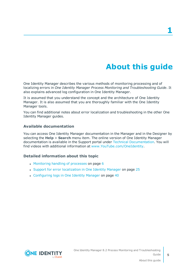# **About this guide**

<span id="page-4-0"></span>One Identity Manager describes the various methods of monitoring processing and of localizing errors in *One Identity Manager Process Monitoring and Troubleshooting Guide*. It also explains advanced log configuration in One Identity Manager.

It is assumed that you understand the concept and the architecture of One Identity Manager. It is also assumed that you are thoroughly familiar with the One Identity Manager tools.

You can find additional notes about error localization and troubleshooting in the other One Identity Manager guides.

### **Available documentation**

You can access One Identity Manager documentation in the Manager and in the Designer by selecting the **Help** > **Search** menu item. The online version of One Identity Manager documentation is available in the Support portal under Technical [Documentation](https://support.oneidentity.com/identity-manager/technical-documents). You will find videos with additional information at [www.YouTube.com/OneIdentity.](http://www.youtube.com/OneIdentity)

### **Detailed information about this topic**

- [Monitoring](#page-5-0) handling of processes on page 6
- Support for error [localization](#page-24-0) in One Identity Manager on page 25
- [Configuring](#page-39-0) logs in One Identity Manager on page 40

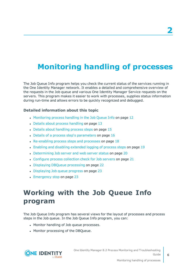# <span id="page-5-0"></span>**Monitoring handling of processes**

The Job Queue Info program helps you check the current status of the services running in the One Identity Manager network. It enables a detailed and comprehensive overview of the requests in the Job queue and various One Identity Manager Service requests on the servers. This program makes it easier to work with processes, supplies status information during run-time and allows errors to be quickly recognized and debugged.

### **Detailed information about this topic**

- [Monitoring](#page-11-0) process handling in the Job Queue Info on page 12
- Details about process [handling](#page-12-0) on page 13
- Details about [handling](#page-14-0) process steps on page 15
- $\bullet$  Details of a process step's [parameters](#page-15-0) on page 16
- $\cdot$  [Re-enabling](#page-17-0) process steps and processes on page 18
- Enabling and disabling [extended](#page-18-0) logging of process steps on page 19
- [Determining](#page-19-0) Job server and web server status on page 20
- [Configure](#page-20-0) process collection check for Job servers on page 21
- Displaying DBQueue [processing](#page-21-1) on page 22
- [Displaying](#page-22-0) Job queue progress on page 23
- [Emergency](#page-22-1) stop on page 23

## <span id="page-5-1"></span>**Working with the Job Queue Info program**

The Job Queue Info program has several views for the layout of processes and process steps in the Job queue. In the Job Queue Info program, you can:

- Monitor handling of Job queue processes.
- Monitor processing of the DBQueue.



One Identity Manager 8.2 Process Monitoring and Troubleshooting Guide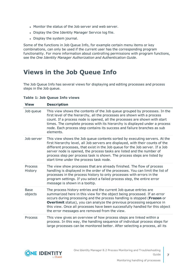- Monitor the status of the Job server and web server.
- Display the One Identity Manager Service log file.
- Display the system journal.

Some of the functions in Job Queue Info, for example certain menu items or key combinations, can only be used if the current user has the corresponding program functionality. For more information about controlling permissions with program functions, see the *One Identity Manager Authorization and Authentication Guide*.

### <span id="page-6-0"></span>**Views in the Job Queue Info**

The Job Queue Info has several views for displaying and editing processes and process steps in the Job queue.

| <b>View</b>            | <b>Description</b>                                                                                                                                                                                                                                                                                                                                                                                                                           |
|------------------------|----------------------------------------------------------------------------------------------------------------------------------------------------------------------------------------------------------------------------------------------------------------------------------------------------------------------------------------------------------------------------------------------------------------------------------------------|
| Job queue              | This view shows the contents of the Job queue grouped by processes. In the<br>first level of the hierarchy, all the processes are shown with a process<br>count. If a process node is opened, all the processes are shown with start<br>times. The complete process with its hierarchy is displayed under a process<br>node. Each process step contains its success and failure branches as sub<br>elements.                                 |
| Job server             | This view shows the Job queue contents sorted by executing servers. At the<br>first hierarchy level, all Job servers are displayed, with their counts of the<br>different processes, that exist in the Job queue for the Job server. If a Job<br>server node is opened, the process tasks are listed and the number of<br>process step per process task is shown. The process steps are listed by<br>start time under the process task node. |
| Process<br>History     | The view show processes that are already finished. The flow of process<br>handling is displayed in the order of the processes. You can limit the list of<br>processes in the process history to only processes with errors in the<br>program settings. If you select a failed process step, the entire error<br>message is shown in a tooltip.                                                                                               |
| <b>Base</b><br>objects | The process history entries and the current Job queue entries are<br>summarized here in this view for the object being processed. If an error<br>occurs during processing and the process handling is stopped (Frozen or<br><b>Overlimit</b> status), you can analyze the previous processing sequence in<br>this view. Once all processes have been successfully handled for this object<br>the error messages are removed from the view.   |
| Process                | This view gives an overview of how process steps are linked within a<br>process. In this way, the handling sequence of individual process steps for<br>large processes can be monitored better. After selecting a process, all its                                                                                                                                                                                                           |

### **Table 1: Job Queue Info views**

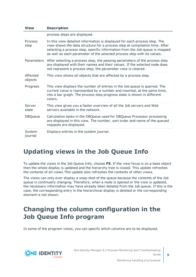| <b>View</b>            | <b>Description</b>                                                                                                                                                                                                                                                                                                 |
|------------------------|--------------------------------------------------------------------------------------------------------------------------------------------------------------------------------------------------------------------------------------------------------------------------------------------------------------------|
|                        | process steps are displayed.                                                                                                                                                                                                                                                                                       |
| <b>Process</b><br>step | In this view detailed information is displayed for each process step. The<br>view shows the data structure for a process step at compilation time. After<br>selecting a process step, specific information from the Job queue is mapped<br>as well as each parameter of the selected process step with its values. |
|                        | Parameters After selecting a process step, the passing parameters of the process step<br>are displayed with their names and their values. If the selected node does<br>not represent a process step, the parameter view is cleared.                                                                                |
| Affected<br>objects    | This view shows all objects that are affected by a process step.                                                                                                                                                                                                                                                   |
| Progress               | This view displays the number of entries in the Job queue is queried. The<br>current value is represented by a number and inserted, at the same time,<br>into a bar graph. The process step progress state is shown in different<br>colors.                                                                        |
| Server<br>state        | This view gives you a faster overview of all the Job servers and Web<br>servers available in the network.                                                                                                                                                                                                          |
| <b>DBQueue</b>         | Calculation tasks in the DBQueue used for DBQueue Processor processing<br>are displayed in this view. The number, sort order and name of the queued<br>requests are displayed.                                                                                                                                     |
| System<br>journal      | Displays entries in the system journal.                                                                                                                                                                                                                                                                            |

### <span id="page-7-0"></span>**Updating views in the Job Queue Info**

To update the views in the Job Queue Info, choose **F5**. If the view focus is on a base object then the whole display is updated and the hierarchy tree is closed. This update refreshes the contents of all views.This update also refreshes the contents of other views.

The views can only ever display a snap-shot of the queue because the contents of the Job queue is continually changing. Therefore, when a node is opened or the view is updated, the necessary information may have already been deleted from the Job queue. If this is the case, the corresponding entry in the hierarchical display is deleted or the corresponding element is not shown.

### <span id="page-7-1"></span>**Changing the column configuration in the Job Queue Info program**

In some of the program views, you can specify which columns are to be displayed.



One Identity Manager 8.2 Process Monitoring and Troubleshooting Guide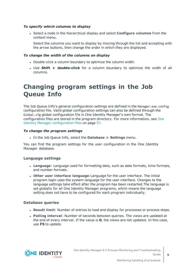### *To specify which columns to display*

<sup>l</sup> Select a node in the hierarchical display and select **Configure columns** from the context menu.

Select the columns you want to display by moving through the list and accepting with the arrow buttons, then change the order in which they are displayed.

### *To change the width of the columns on display*

- Double-click a column boundary to optimize the column width.
- **.** Use **Shift + double-click** for a column boundary to optimize the width of all columns.

### <span id="page-8-0"></span>**Changing program settings in the Job Queue Info**

The Job Queue Info's general configuration settings are defined in the Manager.exe.config configuration file. Valid global configuration settings can also be defined through the Global.cfg global configuration file in One Identity Manager's own format. The configuration files are stored in the program directory. For more [information,](#page-56-0) see One Identity Manager [configuration](#page-56-0) files on page 57.

#### *To change the program settings*

<sup>l</sup> In the Job Queue Info, select the **Database > Settings** menu.

You can find the program settings for the user configuration in the One Identity Manager database.

### **Language settings**

- <sup>l</sup> **Language**: Language used for formatting data, such as date formats, time formats, and number formats.
- <sup>l</sup> **Other user interface language**:Language for the user interface. The initial program login uses the system language for the user interface. Changes to the language settings take effect after the program has been restarted.The language is set globally for all One Identity Manager programs, which means the language setting does not have to be configured for each program individually.

### **Database queries**

- **Result limit**: Number of entries to load and display for processes or process steps.
- <sup>l</sup> **Polling interval**: Number of seconds between queries. The views are updated at the end of every interval. If the value is **0**, the views are not updated. In this case, use **F5** to update.

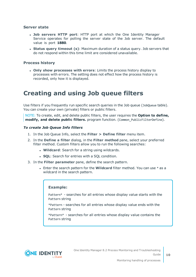### **Server state**

- <sup>l</sup> **Job servers HTTP port**: HTTP port at which the One Identity Manager Service operates for polling the server state of the Job server. The default value is port **1880**.
- <sup>l</sup> **Status query timeout (s)**: Maximum duration of a status query. Job servers that do not respond within this time limit are considered unavailable.

### **Process history**

<sup>l</sup> **Only show processes with errors**: Limits the process history display to processes with errors. The setting does not effect how the process history is recorded, only how it is displayed.

### <span id="page-9-0"></span>**Creating and using Job queue filters**

Use filters if you frequently run specific search queries in the Job queue (JobQueue table). You can create your own (private) filters or public filters.

NOTE: To create, edit, and delete public filters, the user requires the **Option to define, modify, and delete public filters.** program function. (Common\_PublicFilterDefine).

#### *To create Job Queue Info filters*

- 1. In the Job Queue Info, select the **Filter > Define filter** menu item.
- 2. In the **Define a filter** dialog, in the **Filter method** pane, select your preferred filter method. Custom filters allow you to run the following searches:
	- **. Wildcard:** Search for a string using wildcards.
	- **. SQL:** Search for entries with a SQL condition.
- 3. In the **Filter parameter** pane, define the search pattern.
	- <sup>l</sup> Enter the search pattern for the **Wildcard** filter method. You can use \* as a wildcard in the search pattern.

#### **Example:**

Pattern\* - searches for all entries whose display value starts with the Pattern string

\*Pattern - searches for all entries whose display value ends with the Pattern string

\*Pattern\* - searches for all entries whose display value contains the Pattern string



One Identity Manager 8.2 Process Monitoring and Troubleshooting Guide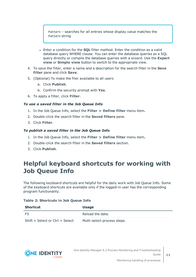Pattern - searches for all entries whose display value matches the Pattern string

- **Enter a condition for the SQL** filter method. Enter the condition as a valid database query WHERE clause. You can enter the database queries as a SQL query directly or compile the database queries with a wizard. Use the **Expert view** or **Simple view** button to switch to the appropriate view.
- 4. To save the filter, enter a name and a description for the search filter in the **Save filter** pane and click **Save**.
- 5. (Optional) To make the filer available to all users
	- a. Click **Publish**.
	- b. Confirm the security prompt with **Yes**.
- 6. To apply a filter, click **Filter**.

### *To use a saved filter in the Job Queue Info*

- 1. In the Job Queue Info, select the **Filter > Define filter** menu item**.**
- 2. Double-click the search filter in the **Saved filters** pane.
- 3. Click **Filter**.

### *To publish a saved filter in the Job Queue Info*

- 1. In the Job Queue Info, select the **Filter > Define filter** menu item**.**
- 2. Double-click the search filter in the **Saved filters** section.
- <span id="page-10-0"></span>3. Click **Publish**.

### **Helpful keyboard shortcuts for working with Job Queue Info**

The following keyboard shortcuts are helpful for the daily work with Job Queue Info. Some of the keyboard shortcuts are available only if the logged-in user has the corresponding program functionality.

#### **Table 2: Shortcuts in Job Queue Info**

| <b>Shortcut</b>                 | <b>Usage</b>                |
|---------------------------------|-----------------------------|
| F5                              | Reload the data.            |
| Shift + Select or Ctrl + Select | Multi-select process steps. |

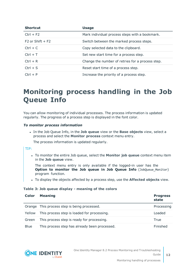| <b>Shortcut</b>    | <b>Usage</b>                                     |
|--------------------|--------------------------------------------------|
| $Ctrl + F2$        | Mark individual process steps with a bookmark.   |
| $F2$ or Shift + F2 | Switch between the marked process steps.         |
| $Ctrl + C$         | Copy selected data to the clipboard.             |
| $Ctrl + T$         | Set new start time for a process step.           |
| $Ctrl + R$         | Change the number of retries for a process step. |
| $Ctrl + S$         | Reset start time of a process step.              |
| $Ctrl + P$         | Increase the priority of a process step.         |

## <span id="page-11-0"></span>**Monitoring process handling in the Job Queue Info**

You can allow monitoring of individual processes. The process information is updated regularly. The progress of a process step is displayed in the font color.

### *To monitor process information*

<sup>l</sup> In the Job Queue Info, in the **Job queue** view or the **Base objects** view, select a process and select the **Monitor process** context menu entry.

The process information is updated regularly.

#### TIP:

<sup>l</sup> To monitor the entire Job queue, select the **Monitor job queue** context menu item in the **Job queue** view.

The context menu entry is only available if the logged-in user has the **Option to monitor the Job queue in Job Queue Info** (JobQueue\_Monitor) program function.

<sup>l</sup> To display the objects affected by a process step, use the **Affected objects** view.

#### **Table 3: Job queue display - meaning of the colors**

| Color       | <b>Meaning</b>                                | <b>Progress</b><br>state |
|-------------|-----------------------------------------------|--------------------------|
|             | Orange This process step is being processed.  | Processing               |
| Yellow      | This process step is loaded for processing.   | Loaded                   |
| Green       | This process step is ready for processing.    | True                     |
| <b>Blue</b> | This process step has already been processed. | Finished                 |



**12**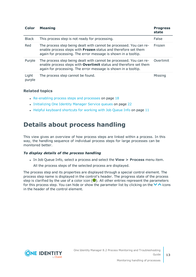| <b>Color</b>    | <b>Meaning</b>                                                                                                                                                                                            | <b>Progress</b><br>state |
|-----------------|-----------------------------------------------------------------------------------------------------------------------------------------------------------------------------------------------------------|--------------------------|
| <b>Black</b>    | This process step is not ready for processing.                                                                                                                                                            | False                    |
| Red             | The process step being dealt with cannot be processed. You can re-<br>enable process steps with Frozen status and therefore set them<br>again for processing. The error message is shown in a tooltip.    | Frozen                   |
| Purple          | The process step being dealt with cannot be processed. You can re-<br>enable process steps with Overlimit status and therefore set them<br>again for processing. The error message is shown in a tooltip. | Overlimit                |
| Light<br>purple | The process step cannot be found.                                                                                                                                                                         | Missing                  |

### **Related topics**

- $\cdot$  [Re-enabling](#page-17-0) process steps and processes on page 18
- [Initializing](#page-21-0) One Identity Manager Service queues on page 22
- Helpful [keyboard](#page-10-0) shortcuts for working with Job Queue Info on page 11

### <span id="page-12-0"></span>**Details about process handling**

This view gives an overview of how process steps are linked within a process. In this way, the handling sequence of individual process steps for large processes can be monitored better.

### *To display details of the process handling*

<sup>l</sup> In Job Queue Info, select a process and select the **View > Process** menu item.

All the process steps of the selected process are displayed.

The process step and its properties are displayed through a special control element. The process step name is displayed in the control's header. The progress state of the process step is clarified by the use of a color icon  $(\bullet)$ . All other entries represent the parameters for this process step. You can hide or show the parameter list by clicking on the  $\vee$  icons in the header of the control element.



**13**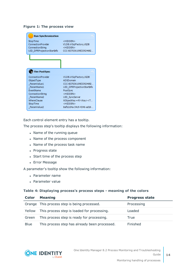### **Figure 1: The process view**

| <b>Run Synchronization</b>                                                                                                                                    |                                                                                                                                                                                                                                            |
|---------------------------------------------------------------------------------------------------------------------------------------------------------------|--------------------------------------------------------------------------------------------------------------------------------------------------------------------------------------------------------------------------------------------|
| StopTime<br>ConnectionProvider<br>ConnectionString<br>UID DPRProjectionStartInfo                                                                              | <hiddfn><br/>VI.DB.ViSqlFactory,VLDB<br/><hidden><br/>CCC-B37036109E33924692</hidden></hiddfn>                                                                                                                                             |
|                                                                                                                                                               |                                                                                                                                                                                                                                            |
|                                                                                                                                                               |                                                                                                                                                                                                                                            |
| <b>Fire PostSync</b>                                                                                                                                          |                                                                                                                                                                                                                                            |
| ConnectionProvider<br>ObjectType<br>ParamValue1<br>ParamName1<br><b>FventName</b><br>ConnectionString<br>ParamName2<br>WhereClause<br>StopTime<br>ParamValue2 | VI.DB.ViSqlFactory,VLDB<br>ADSDomain<br>CCC-B37036109E33924692<br>UID DPRProjectionStartInfo<br>PostSync<br><hidden><br/>UID SyncServer<br/>XObjectKey = N'<key><t<br><hidden><br/>8afb2d4a-34c9-4346-ad18-</hidden></t<br></key></hidden> |

Each control element entry has a tooltip.

The process step's tooltip displays the following information:

- Name of the running queue
- Name of the process component
- Name of the process task name
- Progress state
- Start time of the process step
- Error Message

A parameter's tooltip show the following information:

- Parameter name
- Parameter value

#### **Table 4: Displaying process's process steps - meaning of the colors**

| Color       | <b>Meaning</b>                                | <b>Progress state</b> |
|-------------|-----------------------------------------------|-----------------------|
|             | Orange This process step is being processed.  | Processing            |
| Yellow      | This process step is loaded for processing.   | Loaded                |
| Green       | This process step is ready for processing.    | True                  |
| <b>Blue</b> | This process step has already been processed. | Finished              |

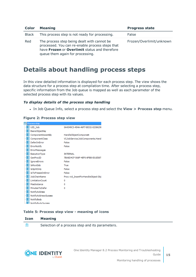| Color        | <b>Meaning</b>                                                                                                                                                                       | <b>Progress state</b>    |
|--------------|--------------------------------------------------------------------------------------------------------------------------------------------------------------------------------------|--------------------------|
| <b>Black</b> | This process step is not ready for processing.                                                                                                                                       | False                    |
| Red          | The process step being dealt with cannot be.<br>processed. You can re-enable process steps that<br>have Frozen or Overlimit status and therefore<br>queue them again for processing. | Frozen/Overlimit/unknown |

### <span id="page-14-0"></span>**Details about handling process steps**

In this view detailed information is displayed for each process step. The view shows the data structure for a process step at compilation time. After selecting a process step, specific information from the Job queue is mapped as well as each parameter of the selected process step with its values.

### *To display details of the process step handling*

<sup>l</sup> In Job Queue Info, select a process step and select the **View > Process step** menu.

### **Figure 2: Process step view**

| Process step                 |                                     |
|------------------------------|-------------------------------------|
| 瞷UID_Job                     | 0A4349C3-454A-46F7-BD32-0238629I    |
| <b>BasisObjectKey</b>        |                                     |
| <b>iii</b> ComponentAssembly | HandleObjectComponent               |
| ComponentClass               | VI.JobService.JobComponents.Hand    |
| <b>III</b> DeferOnError      | False                               |
| <b>  ErrorNotify</b>         | False                               |
| <b>非</b> ErrorMessages       |                                     |
| <b>  Execution Type</b>      | <b>INTERNAL</b>                     |
| 瞷<br>GenProcID               | 7BA8D4CF-568F-4EF0-8FBB-E01E587.    |
| <b>iiiiii</b> IgnoreErrors   | False                               |
| <b>III</b> IsRootJob         | True                                |
| III IsSplitOnly              | False                               |
| <b>非</b> IsToFreezeOnError   | False                               |
| <b>III</b> JobChainName      | Proc: vid InsertForHandleObject Obj |
| LimitationCount              | 0                                   |
| <b>III</b> MaxInstance       | 0                                   |
| MinutesToDefer               | 0                                   |
| <b>III</b> NotifyAddress     |                                     |
| WE NotifyAddressSuccess      |                                     |
| <b>III</b> NotifyBody        |                                     |
| <b>III</b> NotifyBodySucress |                                     |
|                              |                                     |

### **Table 5: Process step view - meaning of icons**

#### **Icon Meaning**

訚 Selection of a process step and its parameters.

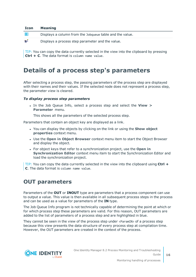| <b>Icon</b> | <b>Meaning</b>                                           |
|-------------|----------------------------------------------------------|
| 睚           | Displays a column from the Jobqueue table and the value. |
| ๒ะึ         | Displays a process step parameter and the value.         |

TIP: You can copy the data currently selected in the view into the clipboard by pressing **Ctrl + C**. The data format is column name value.

### <span id="page-15-0"></span>**Details of a process step's parameters**

After selecting a process step, the passing parameters of the process step are displayed with their names and their values. If the selected node does not represent a process step, the parameter view is cleared.

### *To display process step parameters*

<sup>l</sup> In the Job Queue Info, select a process step and select the **View > Parameter** menu.

This shows all the parameters of the selected process step.

Parameters that contain an object key are displayed as a link.

- <sup>l</sup> You can display the objects by clicking on the link or using the **Show object properties** context menu.
- <sup>l</sup> Use the **Open in Object Browser** context menu item to start the Object Browser and display the object.
- <sup>l</sup> For object keys that refer to a synchronization project, use the **Open in Synchronization Editor** context menu item to start the Synchronization Editor and load the synchronization project.

TIP: You can copy the data currently selected in the view into the clipboard using **Ctrl + C**. The data format is column name value.

### <span id="page-15-1"></span>**OUT parameters**

Parameters of the **OUT** or **INOUT** type are parameters that a process component can use to output a value. This value is then available in all subsequent process steps in the process and can be used as a value for parameters of the **IN** type.

The Job Queue Info program is not technically capable of determining the point at which or for which process step these parameters are valid. For this reason, OUT parameters are added to the list of parameters of a process step and are highlighted in blue.

They cannot be seen in the view of the process step under  $\langle$  ParamIN $\rangle$  of a process step because this view presents the data structure of every process step at compilation time. However, the OUT parameters are created in the context of the process.



One Identity Manager 8.2 Process Monitoring and Troubleshooting Guide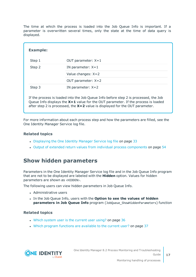The time at which the process is loaded into the Job Queue Info is important. If a parameter is overwritten several times, only the state at the time of data query is displayed.

| <b>Example:</b> |                                                                                       |
|-----------------|---------------------------------------------------------------------------------------|
| Step 1          | OUT parameter: $X=1$                                                                  |
| Step 2          | IN parameter: $X=1$                                                                   |
|                 | Value changes: $X=2$                                                                  |
|                 | OUT parameter: $X=2$                                                                  |
| Step 3          | IN parameter: $X=2$                                                                   |
|                 | If the process is loaded into the Job Queue Info before step $2$ is processed the Job |

If the process is loaded into the Job Queue Info before step 2 is processed, the Job Queue Info displays the **X=1** value for the OUT parameter. If the process is loaded after step 2 is processed, the **X=2** value is displayed for the OUT parameter.

For more information about each process step and how the parameters are filled, see the One Identity Manager Service log file.

### **Related topics**

- [Displaying](#page-32-0) the One Identity Manager Service log file on page 33
- Output of extended return values from individual process [components](#page-53-0) on page 54

### <span id="page-16-0"></span>**Show hidden parameters**

Parameters in the One Identity Manager Service log file and in the Job Queue Info program that are not to be displayed are labeled with the **Hidden** option. Values for hidden parameters are shown as <HIDDEN>.

The following users can view hidden parameters in Job Queue Info.

- Administrative users
- <sup>l</sup> In the Job Queue Info, users with the **Option to see the values of hidden parameters in Job Queue Info** program (JobQueue\_ShowHiddenParameters) function

### **Related topics**

- Which system user is the [current](#page-35-0) user using? on page 36
- . Which program functions are [available](#page-36-1) to the current user? on page 37

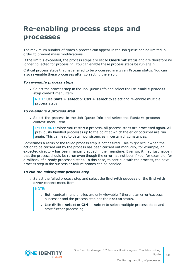# <span id="page-17-0"></span>**Re-enabling process steps and processes**

The maximum number of times a process can appear in the Job queue can be limited in order to prevent mass modifications.

If the limit is exceeded, the process steps are set to **Overlimit** status and are therefore no longer collected for processing. You can enable these process steps be run again.

Critical process steps that have failed to be processed are given **Frozen** status. You can also re-enable these processes after correcting the error.

#### *To re-enable process steps*

<sup>l</sup> Select the process step in the Job Queue Info and select the **Re-enable process step** context menu item.

NOTE: Use **Shift + select** or **Ctrl + select** to select and re-enable multiple process steps.

#### *To re-enable a process step*

<sup>l</sup> Select the process in the Job Queue Info and select the **Restart process** context menu item.

IMPORTANT: When you restart a process, all process steps are processed again. All previously handled processes up to the point at which the error occurred are run again. This can lead to data inconsistencies in certain circumstances.

Sometimes a rerun of the failed process step is not desired. This might occur when the action to be carried out by the process has been carried out manually, for example, an expected directory has been manually added in the meantime. Even so, it may just happen that the process should be rerun even though the error has not been fixed, for example, for a rollback of already processed steps. In this case, to continue with the process, the next process step in the success or failure branch can be handled.

#### *To run the subsequent process step*

<sup>l</sup> Select the failed process step and select the **End with success** or the **End with error** context menu item.

#### NOTE:

- Both context menu entries are only viewable if there is an error/success successor and the process step has the **Frozen** status.
- <sup>l</sup> Use **Shift+ select** or **Ctrl + select** to select multiple process steps and start further processing.

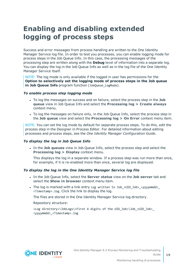# <span id="page-18-0"></span>**Enabling and disabling extended logging of process steps**

Success and error messages from process handling are written to the One Identity Manager Service log file. In order to test you processes, you can enable logging mode for process steps in the Job Queue Info. In this case, the processing messages of the processing step are written along with the **Debug** level of information into a separate log. You can display the log in the Job Queue Info as well as in the log file of the One Identity Manager Service itself.

NOTE: The log mode is only available if the logged in user has permissions for the **Option to selectively set the logging mode of process steps in the Job queue in Job Queue Info** program function (JobQueue LogMode).

#### *To enable process step logging mode*

- To log the messages on success and on failure, select the process step in the Job **queue** view in Job Queue Info and select the **Processing log > Create always** context menu.
- To log the messages on failure only, in the Job Queue Info, select the process step in the **Job queue** view and select the **Processing log > On Error** context menu item.

NOTE: You can set the log mode by default for separate process steps. To do this, edit the process step in the Designer in Process Editor. For detailed information about editing processes and process steps, see the *One Identity Manager Configuration Guide*.

### *To display the log in Job Queue Info*

<sup>l</sup> In the **Job queues** view in Job Queue Info, select the process step and select the **Processing log > Display** context menu.

This displays the log in a separate window. If a process step was run more than once, for example, if it is re-enabled more than once, several log are displayed.

### *To display the log in the One Identity Manager Service log file*

- <sup>l</sup> In the Job Queue Info, select the **Server status** view on the **Job server** tab and select the **Show in browser** context menu item.
- . The log is marked with a link entry Log written to Job\_<UID\_Job>\_<yyyymmdd>\_ <Timestamp>.log. Click the link to display the log.

The files are stored in the One Identity Manager Service log directory.

Repository structure:

```
<Log directory>\JobLogs\<First 4 digits of the UID_Job>\Job_<UID_Job>_
<yyyymmdd>_<Timestamp>.log
```
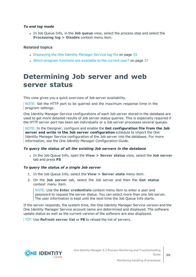### *To end log mode*

<sup>l</sup> In Job Queue Info, in the **Job queue** view, select the process step and select the **Processing log > Disable** context menu item.

### **Related topics**

- [Displaying](#page-32-0) the One Identity Manager Service log file on page 33
- . Which program functions are [available](#page-36-1) to the current user? on page 37

## <span id="page-19-0"></span>**Determining Job server and web server status**

This view gives you a quick overview of Job server availability.

NOTE: Set the HTTP port to be queried and the maximum response time in the program settings.

One Identity Manager Service configurations of each Job server stored in the database are used to get more detailed results of Job server status queries. This is especially required if the HTTP server port has been set individually or a Job server processes several queues.

NOTE: In the Designer, configure and enable the **Get configuration file from the Job server and write in the Job server configuration** schedule to import the One Identity Manager Service configuration of the Job server into the database. For more information, see the *One Identity Manager Configuration Guide*.

#### *To query the status of all the existing Job servers in the database*

<sup>l</sup> In the Job Queue Info, open the **View > Server status** view, select the **Job server** tab and press **F5**.

#### *To query the status of a single Job server*

- 1. In the Job Queue Info, select the **View > Server state** menu item.
- 2. On the **Job server** tab, select the Job server and then the **Get status** context menu item.

NOTE: Use the **Enter credentials** context menu item to enter a user and password to request the server status. You can select more than one Job server. The user information is kept until the next time the Job Queue Info starts.

If the server responds, the system time, the One Identity Manager Service version and the One Identity Manager Service account name are determined and displayed. The software update status as well as the current version of the software are also displayed.

TIP: Use **Refresh server list** or **F6** to reload the list of servers.

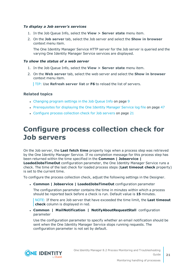### *To display a Job server's services*

- 1. In the Job Queue Info, select the **View > Server state** menu item.
- 2. On the **Job server** tab, select the Job server and select the **Show in browser** context menu item.

The One Identity Manager Service HTTP server for the Job server is queried and the varying One Identity Manager Service services are displayed.

#### *To show the status of a web server*

- 1. In the Job Queue Info, select the **View > Server state** menu item.
- 2. On the **Web server** tab, select the web server and select the **Show in browser** context menu item.

TIP: Use **Refresh server list** or **F6** to reload the list of servers.

### **Related topics**

- [Changing](#page-8-0) program settings in the Job Queue Info on page 9
- [Prerequisites](#page-46-0) for displaying the One Identity Manager Service log file on page 47
- [Configure](#page-20-0) process collection check for Job servers on page 21

## <span id="page-20-0"></span>**Configure process collection check for Job servers**

On the Job server, the **Last fetch time** property logs when a process step was retrieved by the One Identity Manager Service. If no completion message for this process step has been returned within the time specified in the **Common | Jobservice |**

**LoadedJobsTimeOut** configuration parameter, the One Identity Manager Service runs a check. The time of the last check for loaded process steps (**Last timeout check** property) is set to the current time.

To configure the process collection check, adjust the following settings in the Designer.

<sup>l</sup> **Common | Jobservice | LoadedJobsTimeOut** configuration parameter

The configuration parameter contains the time in minutes within which a process should be reported back before a check is run. Default value is **15** minutes.

NOTE: If there are Job server that have exceeded the time limit, the **Last timeout check** column is displayed in red.

<sup>l</sup> **Common | MailNotification | NotifyAboutRequestStall** configuration parameter

Use the configuration parameter to specify whether an email notification should be sent when the One Identity Manager Service stops running requests. The configuration parameter is not set by default.

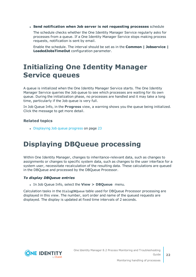<sup>l</sup> **Send notification when Job server is not requesting processes** schedule

The schedule checks whether the One Identity Manager Service regularly asks for processes from a queue. If a One Identity Manager Service stops making process requests, notification is sent by email.

Enable the schedule. The interval should be set as in the **Common | Jobservice | LoadedJobsTimeOut** configuration parameter.

## <span id="page-21-0"></span>**Initializing One Identity Manager Service queues**

A queue is initialized when the One Identity Manager Service starts. The One Identity Manager Service queries the Job queue to see which processes are waiting for its own queue. During the initialization phase, no processes are handled and it may take a long time, particularly if the Job queue is very full.

In Job Queue Info, in the **Progress** view, a warning shows you the queue being initialized. Click the message to get more detail.

### **Related topics**

• [Displaying](#page-22-0) Job queue progress on page 23

# <span id="page-21-1"></span>**Displaying DBQueue processing**

Within One Identity Manager, changes to inheritance-relevant data, such as changes to assignments or changes to specific system data, such as changes to the user interface for a system user, necessitate recalculation of the resulting data. These calculations are queued in the DBQueue and processed by the DBQueue Processor.

### *To display DBQueue entries*

<sup>l</sup> In Job Queue Info, select the **View > DBQueue** menu.

Calculation tasks in the DialogDBQueue table used for DBQueue Processor processing are displayed in this view. The number, sort order and name of the queued requests are displayed. The display is updated at fixed time intervals of 2 seconds.

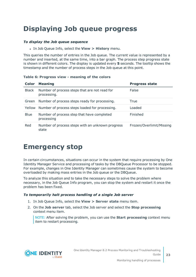# <span id="page-22-0"></span>**Displaying Job queue progress**

### *To display the Job queue sequence*

<sup>l</sup> In Job Queue Info, select the **View > History** menu.

This queries the number of entries in the Job queue. The current value is represented by a number and inserted, at the same time, into a bar graph. The process step progress state is shown in different colors. The display is updated every **5** seconds. The tooltip shows the timestamp and the number of process steps in the Job queue at this point.

**Table 6: Progress view - meaning of the colors**

| <b>Color</b> | <b>Meaning</b>                                               | <b>Progress state</b>    |
|--------------|--------------------------------------------------------------|--------------------------|
| <b>Black</b> | Number of process steps that are not read for<br>processing. | False                    |
| Green        | Number of process steps ready for processing.                | True                     |
| Yellow       | Number of process steps loaded for processing.               | Loaded                   |
| <b>Blue</b>  | Number of process step that have completed<br>processing     | Finished                 |
| Red          | Number of process steps with an unknown progress<br>state    | Frozen/Overlimit/Missing |

### <span id="page-22-1"></span>**Emergency stop**

In certain circumstances, situations can occur in the system that require processing by One Identity Manager Service and processing of tasks by the DBQueue Processor to be stopped. For example, changes in One Identity Manager can sometimes cause the system to become overloaded by making mass entries in the Job queue or the DBQueue.

To analyze this situation and to take the necessary steps to solve the problem where necessary, in the Job Queue Info program, you can stop the system and restart it once the problem has been fixed.

### *To temporarily halt process handling of a single Job server*

- 1. In Job Queue Info, select the **View > Server state** menu item.
- 2. On the **Job server** tab, select the Job server and select the **Stop processing** context menu item.

NOTE: After solving the problem, you can use the **Start processing** context menu item to restart processing.

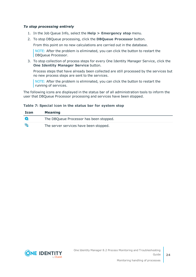### *To stop processing entirely*

- 1. In the Job Queue Info, select the **Help > Emergency stop** menu.
- 2. To stop DBQueue processing, click the **DBQueue Processor** button.

From this point on no new calculations are carried out in the database.

NOTE: After the problem is eliminated, you can click the button to restart the DBQueue Processor.

3. To stop collection of process steps for every One Identity Manager Service, click the **One Identity Manager Service** button.

Process steps that have already been collected are still processed by the services but no new process steps are sent to the services.

NOTE: After the problem is eliminated, you can click the button to restart the running of services.

The following icons are displayed in the status bar of all administration tools to inform the user that DBQueue Processor processing and services have been stopped.

### **Table 7: Special icon in the status bar for system stop**

| Icon | <b>Meaning</b>                          |
|------|-----------------------------------------|
|      | The DBQueue Processor has been stopped. |
| 囋    | The server services have been stopped.  |



**24**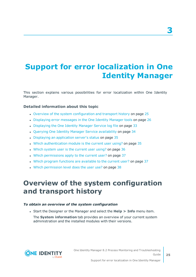# <span id="page-24-0"></span>**Support for error localization in One Identity Manager**

This section explains various possibilities for error localization within One Identity Manager.

### **Detailed information about this topic**

- Overview of the system [configuration](#page-24-1) and transport history on page 25
- [Displaying](#page-25-0) error messages in the One Identity Manager tools on page 26
- [Displaying](#page-32-0) the One Identity Manager Service log file on page 33
- Querying One Identity Manager Service [availability](#page-33-0) on page 34
- Displaying an [application](#page-34-0) server's status on page 35
- . Which [authentication](#page-34-1) module is the current user using? on page 35
- . Which system user is the [current](#page-35-0) user using? on page 36
- Which [permissions](#page-36-0) apply to the current user? on page 37
- . Which program functions are [available](#page-36-1) to the current user? on page 37
- <span id="page-24-1"></span>. Which [permission](#page-37-0) level does the user use? on page 38

### **Overview of the system configuration and transport history**

### *To obtain an overview of the system configuration*

<sup>l</sup> Start the Designer or the Manager and select the **Help > Info** menu item.

The **System information** tab provides an overview of your current system administration and the installed modules with their versions.

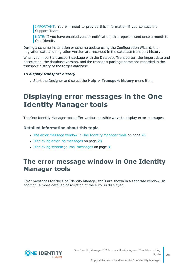IMPORTANT: You will need to provide this information if you contact the Support Team.

NOTE: If you have enabled vendor notification, this report is sent once a month to One Identity.

During a schema installation or schema update using the Configuration Wizard, the migration date and migration version are recorded in the database transport history.

When you import a transport package with the Database Transporter, the import date and description, the database version, and the transport package name are recorded in the transport history of the target database.

### *To display transport history*

<span id="page-25-0"></span><sup>l</sup> Start the Designer and select the **Help > Transport history** menu item.

## **Displaying error messages in the One Identity Manager tools**

The One Identity Manager tools offer various possible ways to display error messages.

### **Detailed information about this topic**

- The error [message](#page-25-1) window in One Identity Manager tools on page 26
- [Displaying](#page-27-0) error log messages on page 28
- [Displaying](#page-30-0) system journal messages on page  $31$

### <span id="page-25-1"></span>**The error message window in One Identity Manager tools**

Error messages for the One Identity Manager tools are shown in a separate window. In addition, a more detailed description of the error is displayed.

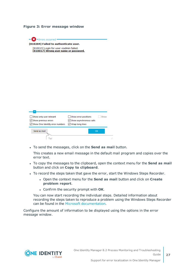### **Figure 3: Error message window**

 $\mathbf{X}$  - Errors occurred -[810284] Failed to authenticate user. [810015] Login for user viadmin failed. [810017] Wrong user name or password.

| Show only user relevant         | Show error positions<br>Show        |
|---------------------------------|-------------------------------------|
| $\vee$ Show previous errors     | $\sqrt{\ }$ Show asynchronous calls |
| Show One Identity error numbers | √ Wrap long lines                   |
| Send as mail                    | OK                                  |
|                                 | J.                                  |

<sup>l</sup> To send the messages, click on the **Send as mail** button.

This creates a new email message in the default mail program and copies over the error text.

- <sup>l</sup> To copy the messages to the clipboard, open the context menu for the **Send as mail** button and click on **Copy to clipboard**.
- To record the steps taken that gave the error, start the Windows Steps Recorder.
	- <sup>l</sup> Open the context menu for the **Send as mail** button and click on **Create problem report**.
	- <sup>l</sup> Confirm the security prompt with **OK**.

You can now start recording the individual steps. Detailed information about recording the steps taken to reproduce a problem using the Windows Steps Recorder can be found in the Microsoft [documentation](https://support.microsoft.com/en-us/help/22878/windows-10-record-steps).

Configure the amount of information to be displayed using the options in the error message window.

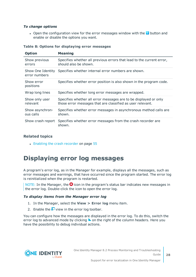### *To change options*

• Open the configuration view for the error messages window with the  $\overline{\triangledown}$  button and enable or disable the options you want.

| <b>Option</b>                      | <b>Meaning</b>                                                                                                                 |
|------------------------------------|--------------------------------------------------------------------------------------------------------------------------------|
| Show previous<br>errors            | Specifies whether all previous errors that lead to the current error,<br>should also be shown.                                 |
| Show One Identity<br>error numbers | Specifies whether internal error numbers are shown.                                                                            |
| Show error<br>positions            | Specifies whether error position is also shown in the program code.                                                            |
| Wrap long lines                    | Specifies whether long error messages are wrapped.                                                                             |
| Show only user<br>relevant         | Specifies whether all error messages are to be displayed or only<br>those error messages that are classified as user relevant. |
| Show asynchron-<br>ous calls       | Specifies whether error messages in asynchronous method calls are<br>shown.                                                    |
| Show crash report                  | Specifies whether error messages from the crash recorder are<br>shown.                                                         |

#### **Table 8: Options for displaying error messages**

### **Related topics**

• Enabling the crash [recorder](#page-54-1) on page 55

### <span id="page-27-0"></span>**Displaying error log messages**

A program's error log, as in the Manager for example, displays all the messages, such as error messages and warnings, that have occurred since the program started. The error log is reinitialized when the program is restarted.

NOTE: In the Manager, the  $\bullet$  icon in the program's status bar indicates new messages in the error log. Double-click the icon to open the error log.

### *To display items from the Manager error log*

- 1. In the Manager, select the **View > Error log** menu item.
- 2. Enable the  $\blacksquare$  view in the error log toolbar.

You can configure how the messages are displayed in the error log. To do this, switch the error log to advanced mode by clicking  $\blacktriangleright$  on the right of the column headers. Here you have the possibility to debug individual actions.

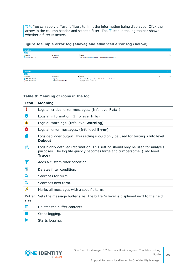TIP: You can apply different filters to limit the information being displayed. Click the arrow in the column header and select a filter. The  $\overline{Y}$  icon in the log toolbar shows whether a filter is active.

### **Figure 4: Simple error log (above) and advanced error log (below)**

| <b>Error log</b>                             |                                       |                                                                                                           | $4 \times$              |
|----------------------------------------------|---------------------------------------|-----------------------------------------------------------------------------------------------------------|-------------------------|
| 四宿                                           |                                       |                                                                                                           |                         |
| Time stamp                                   | Logger name                           | $ightharpoonup$ Message                                                                                   | Ь<br>$\cdot$            |
| 22.09.2017 09:21:17                          | ObjectLog                             | User viadmin (Dialog user: viadmin, X fields: viadmin) authenticated.                                     |                         |
|                                              |                                       |                                                                                                           |                         |
| <b>Error log</b>                             |                                       |                                                                                                           | <b>4 X</b>              |
| 回宿                                           |                                       |                                                                                                           |                         |
| Time stamp                                   | $\blacktriangleright$ Logger name     | $ightharpoonup$ Message                                                                                   | $\mathbb{P}$<br>$\cdot$ |
| 12.09.2017 16:44:03<br>3 12.09.2017 16:44:51 | ObjectLog<br>VI.FormBase.ExceptionMgr | User viadmin (Dialog user: viadmin, X fields: viadmin) authenticated.<br>Object ({0}) could not be saved! |                         |

#### **Table 9: Meaning of icons in the log**

| <b>Icon</b>           | <b>Meaning</b>                                                                                                                                                        |
|-----------------------|-----------------------------------------------------------------------------------------------------------------------------------------------------------------------|
|                       | Logs all critical error messages. (Info level Fatal)                                                                                                                  |
| Ħ                     | Logs all information. (Info level Info)                                                                                                                               |
| ┻                     | Logs all warnings. (Info level <b>Warning</b> )                                                                                                                       |
| Ø                     | Logs all error messages. (Info level Error)                                                                                                                           |
|                       | Logs debugger output. This setting should only be used for testing. (Info level<br>Debug)                                                                             |
| R                     | Logs highly detailed information. This setting should only be used for analysis<br>purposes. The log file quickly becomes large and cumbersome. (Info level<br>Trace) |
|                       | Adds a custom filter condition.                                                                                                                                       |
| ١ø                    | Deletes filter condition.                                                                                                                                             |
| Q                     | Searches for term.                                                                                                                                                    |
| Q                     | Searches next term.                                                                                                                                                   |
| لىگ                   | Marks all messages with a specific term.                                                                                                                              |
| <b>Buffer</b><br>size | Sets the message buffer size. The buffer's level is displayed next to the field.                                                                                      |
| Ш                     | Deletes the buffer contents.                                                                                                                                          |
|                       | Stops logging.                                                                                                                                                        |
|                       | Starts logging.                                                                                                                                                       |

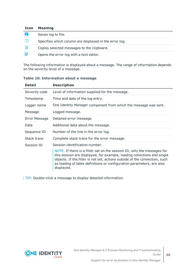| <b>Icon</b> | <b>Meaning</b>                                         |
|-------------|--------------------------------------------------------|
| E.          | Saves log to file.                                     |
|             | Specifies which column are displayed in the error log. |
| g.          | Copies selected messages to the clipboard.             |
| И           | Opens the error log with a text editor.                |

The following information is displayed about a message. The range of information depends on the severity level of a message.

| <b>Detail</b> | <b>Description</b>                                                                                                                                                                                                                                                                                                      |
|---------------|-------------------------------------------------------------------------------------------------------------------------------------------------------------------------------------------------------------------------------------------------------------------------------------------------------------------------|
| Severity code | Level of information supplied for the message.                                                                                                                                                                                                                                                                          |
| Timestamp     | Time and date of the log entry.                                                                                                                                                                                                                                                                                         |
| Logger name   | One Identity Manager component from which the message was sent.                                                                                                                                                                                                                                                         |
| Message       | Logged message.                                                                                                                                                                                                                                                                                                         |
| Error Message | Detailed error message.                                                                                                                                                                                                                                                                                                 |
| Data          | Additional data about the message.                                                                                                                                                                                                                                                                                      |
| Sequence ID   | Number of the line in the error log.                                                                                                                                                                                                                                                                                    |
| Stack trace   | Complete stack trace for the error message.                                                                                                                                                                                                                                                                             |
| Session ID    | Session identification number.                                                                                                                                                                                                                                                                                          |
|               | NOTE: If there is a filter set on the session ID, only the messages for<br>this session are displayed, for example, loading collections and single<br>objects. If the filter is not set, actions outside of the connection, such<br>as loading of table definitions or configuration parameters, are also<br>displayed. |

#### **Table 10: Information about a message**

TIP: Double-click a message to display detailed information.

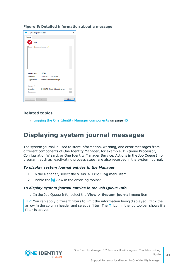#### **Figure 5: Detailed information about a message**

| <b>8</b> Log message properties  |                                     | $\times$ |
|----------------------------------|-------------------------------------|----------|
| General                          |                                     |          |
| х<br>Error                       |                                     |          |
| Object ( ()) could not be saved! |                                     |          |
|                                  |                                     |          |
|                                  |                                     |          |
| Sequence ID 16643                |                                     |          |
| Timestamp                        | 2017-09-22 11:51:52:961             |          |
| Logger name                      | VI.FormBase.ExceptionMgr            |          |
| Session ID                       |                                     |          |
| Exception<br>Stack trace         | [1025012] Object ( ()) could not be |          |
| $\prec$                          | s                                   | Close    |

### **Related topics**

<span id="page-30-0"></span>• Logging the One Identity Manager [components](#page-44-0) on page 45

### **Displaying system journal messages**

The system journal is used to store information, warning, and error messages from different components of One Identity Manager, for example, DBQueue Processor, Configuration Wizard, or One Identity Manager Service. Actions in the Job Queue Info program, such as reactivating process steps, are also recorded in the system journal.

#### *To display system journal entries in the Manager*

- 1. In the Manager, select the **View > Error log** menu item.
- 2. Enable the  $\mathbf{E}$  view in the error log toolbar.

#### *To display system journal entries in the Job Queue Info*

<sup>l</sup> In the Job Queue Info, select the **View > System journal** menu item.

TIP: You can apply different filters to limit the information being displayed. Click the arrow in the column header and select a filter. The  $\blacktriangledown$  icon in the log toolbar shows if a filter is active.

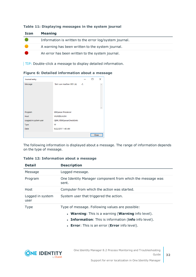| <b>Icon</b> | <b>Meaning</b>                                          |
|-------------|---------------------------------------------------------|
|             | Information is written to the error log/system journal. |
|             | A warning has been written to the system journal.       |
|             | An error has been written to the system journal.        |

#### **Table 11: Displaying messages in the system journal**

TIP: Double-click a message to display detailed information.

### **Figure 6: Detailed information about a message**

| Journal entry         |                             |       | п     | × |
|-----------------------|-----------------------------|-------|-------|---|
| Message               | Slot sure inactive: 003 (A) | $-2.$ |       |   |
|                       |                             |       |       |   |
|                       |                             |       |       |   |
|                       |                             |       |       |   |
|                       |                             |       |       |   |
|                       |                             |       |       |   |
| Program               | <b>DBQueue Processor</b>    |       |       |   |
| Host                  | <b>WURZELAUSIX</b>          |       |       |   |
| Logged in system user | QBM_PDBQueueCheckSlots      |       |       |   |
| Type                  | W                           |       |       |   |
| Date                  | 9/22/2017 1:43 AM           |       |       |   |
|                       |                             |       | Close |   |

The following information is displayed about a message. The range of information depends on the type of message.

| <b>Detail</b>            | <b>Description</b>                                                                                                                                             |
|--------------------------|----------------------------------------------------------------------------------------------------------------------------------------------------------------|
| Message                  | Logged message.                                                                                                                                                |
| Program                  | One Identity Manager component from which the message was<br>sent.                                                                                             |
| Host                     | Computer from which the action was started.                                                                                                                    |
| Logged in system<br>user | System user that triggered the action.                                                                                                                         |
| <b>Type</b>              | Type of message. Following values are possible:<br>• Warning: This is a warning (Warning info level).<br>• Information: This is information (info info level). |

### **Table 12: Information about a message**

- 
- **.** Error: This is an error (Error info level).

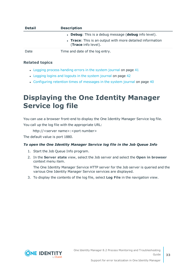| <b>Detail</b> | <b>Description</b>                                                               |
|---------------|----------------------------------------------------------------------------------|
|               | • Debug: This is a debug message (debug info level).                             |
|               | • Trace: This is an output with more detailed information<br>(Trace info level). |
| Date          | Time and date of the log entry.                                                  |

### **Related topics**

- Logging process [handing](#page-40-0) errors in the system journal on page 41
- [Logging](#page-41-0) logins and logouts in the system journal on page 42
- [Configuring](#page-39-1) retention times of messages in the system journal on page 40

# <span id="page-32-0"></span>**Displaying the One Identity Manager Service log file**

You can use a browser front-end to display the One Identity Manager Service log file. You call up the log file with the appropriate URL:

http://<server name>:<port number>

The default value is port 1880.

### *To open the One Identity Manager Service log file in the Job Queue Info*

- 1. Start the Job Queue Info program.
- 2. In the **Server state** view, select the Job server and select the **Open in browser** context menu item.

The One Identity Manager Service HTTP server for the Job server is queried and the various One Identity Manager Service services are displayed.

3. To display the contents of the log file, select **Log File** in the navigation view.



**33**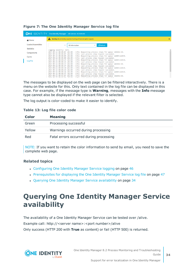| <b>ONE IDENTITY</b> One Identity Manager Job Service - AEDOKU-DC |                                                                                                                                                                |        |  |
|------------------------------------------------------------------|----------------------------------------------------------------------------------------------------------------------------------------------------------------|--------|--|
| <b>N</b> Home                                                    | Warning: No private key supplied. Running without encryption support.<br>A                                                                                     |        |  |
| <b>Loaded Assemblies</b>                                         | <b>C</b> Refresh<br>All information<br>$\checkmark$                                                                                                            |        |  |
| <b>Statistics</b>                                                | Logging severity: Info.                                                                                                                                        | $\sim$ |  |
| Components                                                       | 2017-09-12 00:00:07 +02:00 - Info: Requesting process steps for queue \AEDOKU-DC.<br>2017-09-12 00:00:07 +02:00 - Info: Last process step request succeeded.   |        |  |
| Cache                                                            | 2017-09-12 00:00:09 +02:00 - Info: Requesting process steps for queue \WURZELAUSIX.<br>2017-09-12 00:00:09 +02:00 - Info: Last process step request succeeded. |        |  |
| <b>Log File</b>                                                  | 2017-09-12 00:00:24 +02:00 - Info: Requesting process steps for queue \WURZELAUSIX.<br>2017-09-12 00:00:24 +02:00 - Info: Last process step request succeeded. |        |  |
|                                                                  | 2017-09-12 00:00:37 +02:00 - Info: Requesting process steps for queue \AEDOKU-DC.                                                                              |        |  |
|                                                                  | 2017-09-12 00:00:37 +02:00 - Info: Last process step request succeeded.                                                                                        |        |  |
|                                                                  | 2017-09-12 00:00:39 +02:00 - Info: Requesting process steps for queue \WURZELAUSIX.                                                                            |        |  |
|                                                                  | 2017-09-12 00:00:39 +02:00 - Info: Last process step request succeeded.                                                                                        |        |  |
|                                                                  | 2017-09-12 00:00:54 +02:00 - Info: Requesting process steps for queue \WURZELAUSIX.                                                                            |        |  |
|                                                                  | 2017-09-12 00:00:54 +02:00 - Info: Last process step request succeeded.<br>2017-09-12 00:01:07 +02:00 - Info: Requesting process steps for queue \AEDOKU-DC.   |        |  |
|                                                                  | DAST AD SO ASSAULT DAS THEN IN the measure than moningt currented                                                                                              |        |  |

### **Figure 7: The One Identity Manager Service log file**

The messages to be displayed on the web page can be filtered interactively. There is a menu on the website for this. Only text contained in the log file can be displayed in this case. For example, if the message type is **Warning**, messages with the **Info** message type cannot also be displayed if the relevant filter is selected.

The log output is color-coded to make it easier to identify.

#### **Table 13: Log file color code**

| Color  | <b>Meaning</b>                          |
|--------|-----------------------------------------|
| Green  | Processing successful                   |
| Yellow | Warnings occurred during processing     |
| Red    | Fatal errors occurred during processing |

NOTE: If you want to retain the color information to send by email, you need to save the complete web page.

### **Related topics**

- [Configuring](#page-45-0) One Identity Manager Service logging on page 46
- [Prerequisites](#page-46-0) for displaying the One Identity Manager Service log file on page 47
- Querying One Identity Manager Service [availability](#page-33-0) on page 34

## <span id="page-33-0"></span>**Querying One Identity Manager Service availability**

The availability of a One Identity Manager Service can be tested over /alive. Example call: http://<server name>:<port number>/alive Only success (HTTP 200 with **True** as content) or fail (HTTP 500) is returned.



One Identity Manager 8.2 Process Monitoring and Troubleshooting Guide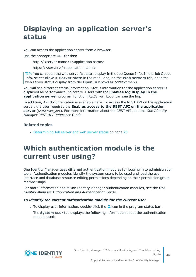# <span id="page-34-0"></span>**Displaying an application server's status**

You can access the application server from a browser.

Use the appropriate URL for this:

http://<server name>/<application name>

https://<server>/<application name>

TIP: You can open the web server's status display in the Job Queue Info. In the Job Queue Info, select **View > Server state** in the menu and, on the **Web servers** tab, open the web server status display from the **Open in browser** context menu.

You will see different status information. Status information for the application server is displayed as performance indicators. Users with the **Enables log display in the application server** program function (AppServer Logs) can see the log.

In addition, API documentation is available here. To access the REST API on the application server, the user required the **Enables access to the REST API on the application server** (AppServer\_API). For more information about the REST API, see the *One Identity Manager REST API Reference Guide*

### **Related topics**

• [Determining](#page-19-0) Job server and web server status on page 20

## <span id="page-34-1"></span>**Which authentication module is the current user using?**

One Identity Manager uses different authentication modules for logging in to administration tools. Authentication modules identify the system users to be used and load the user interface and database resource editing permissions depending on their permission group memberships.

For more information about One Identity Manager authentication modules, see the *One Identity Manager Authorization and Authentication Guide*.

### *To identify the current authentication module for the current user*

- I To display user information, double-click the  $\triangle$  icon in the program status bar.
	- The **System user** tab displays the following information about the authentication module used:

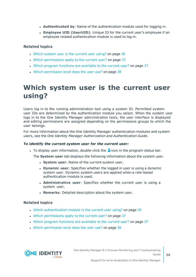- **Authenticated by**: Name of the authentication module used for logging in.
- <sup>l</sup> **Employee UID (UserUID)**: Unique ID for the current user's employee if an employee related authentication module is used to log in.

### **Related topics**

- $\bullet$  Which system user is the [current](#page-35-0) user using? on page 36
- Which [permissions](#page-36-0) apply to the current user? on page 37
- Which program functions are [available](#page-36-1) to the current user? on page 37
- . Which [permission](#page-37-0) level does the user use? on page 38

## <span id="page-35-0"></span>**Which system user is the current user using?**

Users log in to the running administration tool using a system ID. Permitted system user IDs are determined by the authentication module you select. When the system user logs in to the One Identity Manager administration tools, the user interface is displayed and editing permissions are assigned depending on the permissions groups to which the user belongs.

For more information about the One Identity Manager authentication modules and system users, see the *One Identity Manager Authorization and Authentication Guide*.

#### *To identify the current system user for the current user:*

To display user information, double-click the  $\triangle$  icon in the program status bar.

The **System user** tab displays the following information about the system user.

- **.** System user: Name of the current system user.
- **.** Dynamic user: Specifies whether the logged in user is using a dynamic system user. Dynamic system users are applied when a role-based authentication module is used.
- **Administrative user:** Specifies whether the current user is using a system user.
- **Remarks:** Detailed description about the system user.

### **Related topics**

- Which [authentication](#page-34-1) module is the current user using? on page 35
- . Which [permissions](#page-36-0) apply to the current user? on page 37
- Which program functions are [available](#page-36-1) to the current user? on page 37
- Which [permission](#page-37-0) level does the user use? on page 38

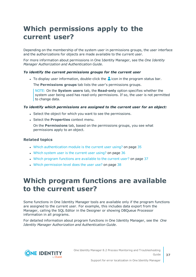# <span id="page-36-0"></span>**Which permissions apply to the current user?**

Depending on the membership of the system user in permissions groups, the user interface and the authorizations for objects are made available to the current user.

For more information about permissions in One Identity Manager, see the *One Identity Manager Authorization and Authentication Guide*.

### *To identify the current permissions groups for the current user*

I To display user information, double-click the  $\triangle$  icon in the program status bar.

The **Permissions groups** tab lists the user's permissions groups.

NOTE: On the **System users** tab, the **Read-only** option specifies whether the system user being used has read-only permissions. If so, the user is not permitted to change data.

### *To identify which permissions are assigned to the current user for an object:*

- Select the object for which you want to see the permissions.
- **.** Select the **Properties** context menu.

On the **Permissions** tab, based on the permissions groups, you see what permissions apply to an object.

### **Related topics**

- . Which [authentication](#page-34-1) module is the current user using? on page 35
- Which system user is the [current](#page-35-0) user using? on page 36
- . Which program functions are [available](#page-36-1) to the current user? on page 37
- <span id="page-36-1"></span>. Which [permission](#page-37-0) level does the user use? on page 38

## **Which program functions are available to the current user?**

Some functions in One Identity Manager tools are available only if the program functions are assigned to the current user. For example, this includes data export from the Manager, calling the SQL Editor in the Designer or showing DBQueue Processor information in all programs.

For detailed information about program functions in One Identity Manager, see the *One Identity Manager Authorization and Authentication Guide*.

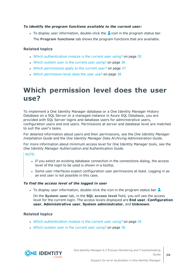### *To identify the program functions available to the current user:*

To display user information, double-click the  $\triangle$  icon in the program status bar. The **Program functions** tab shows the program functions that are available.

### **Related topics**

- . Which [authentication](#page-34-1) module is the current user using? on page 35
- Which system user is the [current](#page-35-0) user using? on page 36
- Which [permissions](#page-36-0) apply to the current user? on page 37
- . Which [permission](#page-37-0) level does the user use? on page 38

## <span id="page-37-0"></span>**Which permission level does the user use?**

To implement a One Identity Manager database or a One Identity Manager History Database on a SQL Server or a managed instance in Azure SQL Database, you are provided with SQL Server logins and database users for administrative users, configuration users and end users. Permissions at server and database level are matched to suit the user's tasks.

For detailed information about users and their permissions, see the *One Identity Manager Installation Guide* and the *One Identity Manager Data Archiving Administration Guide*.

For more information about minimum access level for One Identity Manager tools, see the *One Identity Manager Authorization and Authentication Guide*.

#### NOTE:

- If you select an existing database connection in the connections dialog, the access level of the login to be used is shown in a tooltip.
- Some user interfaces expect configuration user permissions at least. Logging in as an end user is not possible in this case.

### *To find the access level of the logged in user*

If To display user information, double-click the icon in the program status bar

On the **System user** tab, in the **SQL access level** field, you will see the access level for the current login. The access levels displayed are **End user**, **Configuration user**, **Administrative user**, **System administrator**, and **Unknown**.

### **Related topics**

- . Which [authentication](#page-34-1) module is the current user using? on page 35
- Which system user is the [current](#page-35-0) user using? on page 36



One Identity Manager 8.2 Process Monitoring and Troubleshooting Guide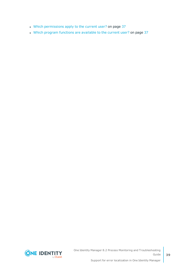- Which [permissions](#page-36-0) apply to the current user? on page 37
- Which program functions are [available](#page-36-1) to the current user? on page 37



**39**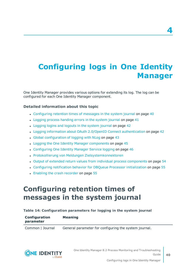# <span id="page-39-0"></span>**Configuring logs in One Identity Manager**

One Identity Manager provides various options for extending its log. The log can be configured for each One Identity Manager component.

### **Detailed information about this topic**

- [Configuring](#page-39-1) retention times of messages in the system journal on page 40
- $\cdot$  Logging process [handing](#page-40-0) errors in the system journal on page 41
- [Logging](#page-41-0) logins and logouts in the system journal on page 42
- Logging information about OAuth 2.0/OpenID Connect [authentication](#page-41-1) on page 42
- Global [configuration](#page-42-0) of logging with NLog on page 43
- Logging the One Identity Manager [components](#page-44-0) on page 45
- [Configuring](#page-45-0) One Identity Manager Service logging on page 46
- Protokollierung von Meldungen Zielsystemkonnektoren
- Output of extended return values from individual process [components](#page-53-0) on page 54
- Configuring notification behavior for DBQueue Processor [initialization](#page-54-0) on page 55
- <span id="page-39-1"></span>• Enabling the crash [recorder](#page-54-1) on page 55

### **Configuring retention times of messages in the system journal**

#### **Table 14: Configuration parameters for logging in the system journal**

| Configuration | <b>Meaning</b> |  |
|---------------|----------------|--|
| parameter     |                |  |
|               |                |  |

Common | Journal General parameter for configuring the system journal.



**4**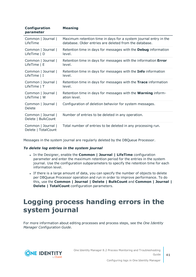| Configuration<br>parameter                | <b>Meaning</b>                                                       |
|-------------------------------------------|----------------------------------------------------------------------|
| Common   Journal                          | Maximum retention time in days for a system journal entry in the     |
| LifeTime                                  | database. Older entries are deleted from the database.               |
| Common   Journal                          | Retention time in days for messages with the Debug information       |
| LifeTime   D                              | level.                                                               |
| Common   Journal                          | Retention time in days for messages with the information Error       |
| LifeTime   E                              | level.                                                               |
| Common   Journal                          | Retention time in days for messages with the <b>Info</b> information |
| LifeTime   I                              | level.                                                               |
| Common   Journal                          | Retention time in days for messages with the Trace information       |
| LifeTime   T                              | level.                                                               |
| Common   Journal                          | Retention time in days for messages with the <b>Warning</b> inform-  |
| LifeTime   W                              | ation level.                                                         |
| Common   Journal  <br>Delete              | Configuration of deletion behavior for system messages.              |
| Common   Journal  <br>Delete   BulkCount  | Number of entries to be deleted in any operation.                    |
| Common   Journal  <br>Delete   TotalCount | Total number of entries to be deleted in any processing run.         |

Messages in the system journal are regularly deleted by the DBQueue Processor.

#### *To delete log entries in the system journal*

- <sup>l</sup> In the Designer, enable the **Common | Journal | LifeTime** configuration parameter and enter the maximum retention period for the entries in the system journal. Use the configuration subparameters to specify the retention time for each information level.
- If there is a large amount of data, you can specify the number of objects to delete per DBQueue Processor operation and run in order to improve performance. To do this, use the **Common | Journal | Delete | BulkCount** and **Common | Journal | Delete | TotalCount** configuration parameters.

## <span id="page-40-0"></span>**Logging process handing errors in the system journal**

For more information about editing processes and process steps, see the *One Identity Manager Configuration Guide*.

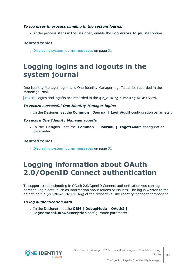### *To log error in process handing in the system journal*

<sup>l</sup> At the process steps in the Designer, enable the **Log errors to journal** option.

### **Related topics**

 $\bullet$  [Displaying](#page-30-0) system journal messages on page 31

## <span id="page-41-0"></span>**Logging logins and logouts in the system journal**

One Identity Manager logins and One Identity Manager logoffs can be recorded in the system journal.

NOTE: Logins and logoffs are recorded in the QBM\_VDialogJournalLoginAudit view.

### *To record successful One Identity Manager logins*

<sup>l</sup> In the Designer, set the **Common | Journal | LoginAudit** configuration parameter.

### *To record One Identity Manager logoffs*

<sup>l</sup> In the Designer, set the **Common | Journal | LogoffAudit** configuration parameter.

### **Related topics**

 $\bullet$  [Displaying](#page-30-0) system journal messages on page 31

## <span id="page-41-1"></span>**Logging information about OAuth 2.0/OpenID Connect authentication**

To support troubleshooting in OAuth 2.0/OpenID Connect authentication you can log personal login data, such as information about tokens or issuers. The log is written to the object log file (<appName>\_object.log) of the respective One Identity Manager component.

### *To log authentication data*

<sup>l</sup> In the Designer, set the **QBM | DebugMode | OAuth2 | LogPersonalInfoOnException** configuration parameter.

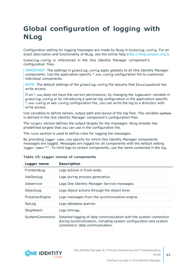# <span id="page-42-0"></span>**Global configuration of logging with NLog**

Configuration setting for logging messages are made by NLog in Globallog.config. For an exact description and functionality of NLog, see the online help [\(http://nlog-project.org/\)](http://nlog-project.org/).

Globallog.config is referenced in the One Identity Manager component's configuration files.

IMPORTANT: The settings in globallog.config apply globally to all One Identity Manager components. Use the application specific \*.exe.config configuration file to customize individual components.

NOTE: The default settings of the globallog.config file assume that %localappdata% has write access.

If an \*.exe does not have the correct permissions, by changing the logBaseDir variable in globallog.config or by introducing a special log configuration in the application-specific \*.exe.config or Web.config configuration file, you can write the log to a directory with write access.

Use variables to define names, output path and layout of the log files. The variable appName is defined in the One Identity Manager component's configuration files.

The targets section defines the output targets for the messages. NLog already has predefined targets that you can use in the configuration file.

The rules section is used to define rules for logging the messages.

By providing logger name, you specify for which One Identity Manager components messages are logged. Messages are logged for all components with the default setting logger name="\*". To limit logs to certain components, use the name contained in the log.

| Logger name       | <b>Description</b>                                                                                                                                                        |
|-------------------|---------------------------------------------------------------------------------------------------------------------------------------------------------------------------|
| FrontendLog       | Logs actions in front-ends.                                                                                                                                               |
| JobGenLog         | Logs during process generation.                                                                                                                                           |
| <b>Jobservice</b> | Logs One Identity Manager Service messages.                                                                                                                               |
| ObjectLog         | Logs object actions through the object level.                                                                                                                             |
| ProjectorEngine   | Logs messages from the synchronization engine.                                                                                                                            |
| SqlLog            | Logs database queries                                                                                                                                                     |
| StopWatch         | Logs timings.                                                                                                                                                             |
| SystemConnection  | Detailed logging of data communication with the system connection<br>during synchronization, including system configuration and system<br>connectors' data communication. |

### **Table 15: Logger names of components**

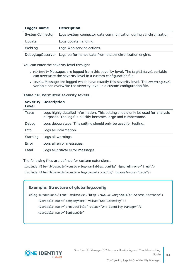| Logger name     | <b>Description</b>                                               |
|-----------------|------------------------------------------------------------------|
| SystemConnector | Logs system connector data communication during synchronization. |
| Update          | Logs update handling.                                            |
| WebLog          | Logs Web service actions.                                        |
|                 |                                                                  |

DebugLogObserver Logs performance data from the synchronization engine.

You can enter the severity level through:

- minlevel= Messages are logged from this severity level. The LogFileLevel variable can overwrite the severity level in a custom configuration file.
- level= Message are logged which have exactly this severity level. The eventLogLevel variable can overwrite the severity level in a custom configuration file.

### **Table 16: Permitted severity levels**

| <b>Severity</b><br>Level | <b>Description</b>                                                                                                                              |
|--------------------------|-------------------------------------------------------------------------------------------------------------------------------------------------|
| Trace                    | Logs highly detailed information. This setting should only be used for analysis<br>purposes. The log file quickly becomes large and cumbersome. |
| Debug                    | Logs debug steps. This setting should only be used for testing.                                                                                 |
| Info                     | Logs all information.                                                                                                                           |
| Warning                  | Logs all warnings.                                                                                                                              |
| Error                    | Logs all error messages.                                                                                                                        |
| Fatal                    | Logs all critical error messages.                                                                                                               |

The following files are defined for custom extensions.

<include file="\${basedir}/custom-log-variables.config" ignoreErrors="true"/>

<include file="\${basedir}/custom-log-targets.config" ignoreErrors="true"/>

### **Example: Structure of globallog.config**

<nlog autoReload="true" xmlns:xsi="http://www.w3.org/2001/XMLSchema-instance"> <variable name="companyName" value="One Identity"/> <variable name="productTitle" value="One Identity Manager"/> <variable name="logBaseDir"



One Identity Manager 8.2 Process Monitoring and Troubleshooting Guide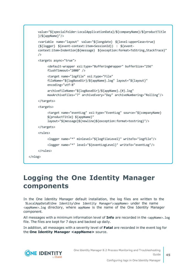```
value="${specialfolder:LocalApplicationData}/${companyName}/${productTitle
     }/${appName}"/>
     <variable name="layout" value="${longdate} ${level:upperCase=true}
     (${logger} ${event-context:item=SessionId}) : ${event-
     context:item=Indention}${message} ${exception:format=ToString,StackTrace}"
     />
     <targets async="true">
          <default-wrapper xsi:type="BufferingWrapper" bufferSize="256"
          flushTimeout="2000" />
          <target name="logfile" xsi:type="File"
          fileName="${logBaseDir}/${appName}.log" layout="${layout}"
          encoding="utf-8"
          archiveFileName="${logBaseDir}/${appName}.{#}.log"
          maxArchiveFiles="7" archiveEvery="Day" archiveNumbering="Rolling"/>
     </targets>
     <targets>
          <target name="eventLog" xsi:type="EventLog" source="${companyName}
          ${productTitle} ${appName}"
          layout="${message}${newline}${exception:format=tostring}"/>
     </targets>
     <rules>
          <logger name="*" minlevel="${logFileLevel}" writeTo="logfile"/>
          <logger name="*" level="${eventLogLevel}" writeTo="eventLog"/>
     </rules>
</nlog>
```
## <span id="page-44-0"></span>**Logging the One Identity Manager components**

In the One Identity Manager default installation, the log files are written to the %LocalAppData%\One Identity\One Identity Manager\<appName> under the name <appName>.log directory, where appName is the name of the One Identity Manager component.

All messages with a minimum information level of **Info** are recorded in the <appName>.log file. The files are kept for 7 days and backed up daily.

In addition, all messages with a severity level of **Fatal** are recorded in the event log for the **One Identity Manager <appName>** source.

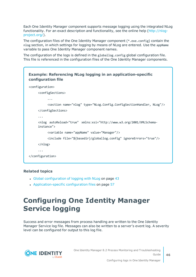Each One Identity Manager component supports message logging using the integrated NLog functionality. For an exact description and functionality, see the online help ([http://nlog](http://nlog-project.org/)[project.org/](http://nlog-project.org/)).

The configuration files of the One Identity Manager component (\*.exe.config) contain the nlog section, in which settings for logging by means of NLog are entered. Use the appName variable to pass One Identity Manager component names.

The configuration of the logs is defined in the globallog.config global configuration file. This file is referenced in the configuration files of the One Identity Manager components.



### **Related topics**

- Global [configuration](#page-42-0) of logging with NLog on page 43
- [Application-specific](#page-56-1) configuration files on page 57

# <span id="page-45-0"></span>**Configuring One Identity Manager Service logging**

Success and error messages from process handling are written to the One Identity Manager Service log file. Messages can also be written to a server's event log. A severity level can be configured for output to this log file.

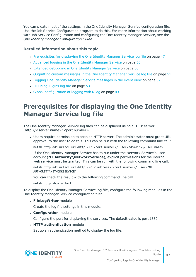You can create most of the settings in the One Identity Manager Service configuration file. Use the Job Service Configuration program to do this. For more information about working with Job Service Configuration and configuring the One Identity Manager Service, see the *One Identity Manager Configuration Guide*.

### **Detailed information about this topic**

- [Prerequisites](#page-46-0) for displaying the One Identity Manager Service log file on page 47
- [Advanced](#page-49-0) logging in the One Identity Manager Service on page 50
- Extended [debugging](#page-49-1) in One Identity Manager Service on page 50
- [Outputting](#page-50-0) custom messages in the One Identity Manager Service log file on page 51
- Logging One Identity Manager Service [messages](#page-51-0) in the event view on page 52
- [HTTPLogPlugins](#page-52-1) log file on page 53
- Global [configuration](#page-42-0) of logging with NLog on page 43

### <span id="page-46-0"></span>**Prerequisites for displaying the One Identity Manager Service log file**

The One Identity Manager Service log files can be displayed using a HTTP server (http://<server name>:<port number>).

• Users require permission to open an HTTP server. The administrator must grant URL approval to the user to do this. This can be run with the following command line call:

netsh http add urlacl url=http://\*:<port number>/ user=<domain>\<user name>

If the One Identity Manager Service has to run under the Network Service's user account (**NT Authority\NetworkService**), explicit permissions for the internal web service must be granted. This can be run with the following command line call:

netsh http add urlacl url=http://<IP address>:<port number>/ user="NT AUTHORITY\NETWORKSERVICE"

You can check the result with the following command line call:

netsh http show urlacl

To display the One Identity Manager Service log file, configure the following modules in the One Identity Manager Service configuration file:

**· FileLogWriter** module

Create the log file settings in this module.

**. Configuration** module

Configure the port for displaying the services. The default value is port 1880.

**. HTTP authentication** module

Set up an authentication method to display the log file.

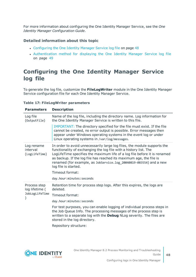For more information about configuring the One Identity Manager Service, see the *One Identity Manager Configuration Guide*.

### **Detailed information about this topic**

- [Configuring](#page-47-0) the One Identity Manager Service log file on page 48
- [Authentication](#page-48-0) method for displaying the One Identity Manager Service log file on [page](#page-48-0) 49

### <span id="page-47-0"></span>**Configuring the One Identity Manager Service log file**

To generate the log file, customize the **FileLogWriter** module in the One Identity Manager Service configuration file for each One Identity Manager Service.

### **Table 17: FileLogWriter parameters**

| <b>Parameters</b>                                | <b>Description</b>                                                                                                                                                                                                                                                                                                                                                                                                 |
|--------------------------------------------------|--------------------------------------------------------------------------------------------------------------------------------------------------------------------------------------------------------------------------------------------------------------------------------------------------------------------------------------------------------------------------------------------------------------------|
| Log file<br>(OutputFile)                         | Name of the log file, including the directory name. Log information for<br>the One Identity Manager Service is written to this file.                                                                                                                                                                                                                                                                               |
|                                                  | IMPORTANT: The directory specified for the file must exist. If the file<br>cannot be created, no error output is possible. Error messages then<br>appear under Windows operating systems in the event log or under<br>Linux operating systems in /var/log/messages.                                                                                                                                                |
| Log rename<br>interval<br>(LogLifeTime)          | In order to avoid unnecessarily large log files, the module supports the<br>functionality of exchanging the log file with a history list. The<br>LogLifeTime specifies the maximum life of a log file before it is renamed<br>as backup. If the log file has reached its maximum age, the file is<br>renamed (for example, as JobService.log_20040819-083554) and a new<br>log file is started.<br>Timeout format: |
|                                                  | day.hour:minutes:seconds                                                                                                                                                                                                                                                                                                                                                                                           |
| Process step<br>log lifetime (<br>JobLogLifeTime | Retention time for process step logs. After this expires, the logs are<br>deleted.                                                                                                                                                                                                                                                                                                                                 |
|                                                  | Timeout format:                                                                                                                                                                                                                                                                                                                                                                                                    |
|                                                  | day.hour:minutes:seconds                                                                                                                                                                                                                                                                                                                                                                                           |
|                                                  | For test purposes, you can enable logging of individual process steps in<br>the Job Queue Info. The processing messages of the process step is                                                                                                                                                                                                                                                                     |
|                                                  | written to a separate log with the Debug NLog severity. The files are<br>stored in the log directory.                                                                                                                                                                                                                                                                                                              |
|                                                  | Repository structure:                                                                                                                                                                                                                                                                                                                                                                                              |

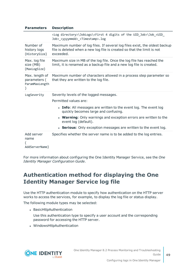| <b>Parameters</b>                                | <b>Description</b>                                                                                                                                                       |
|--------------------------------------------------|--------------------------------------------------------------------------------------------------------------------------------------------------------------------------|
|                                                  | <log directory="">\JobLogs\<first 4="" digits="" of="" the="" uid_job="">\Job_<uid_<br>Job&gt; <yyyymmdd> <timestamp>.log</timestamp></yyyymmdd></uid_<br></first></log> |
| Number of<br>history logs<br>(HistorySize)       | Maximum number of log files. If several log files exist, the oldest backup<br>file is deleted when a new log file is created so that the limit is not<br>exceeded.       |
| Max. log file<br>size (MB)<br>(MaxLogSize)       | Maximum size in MB of the log file. Once the log file has reached the<br>limit, it is renamed as a backup file and a new log file is created.                            |
| Max. length of<br>parameters (<br>ParamMaxLength | Maximum number of characters allowed in a process step parameter so<br>that they are written to the log file.                                                            |
| LogSeverity                                      | Severity levels of the logged messages.                                                                                                                                  |
|                                                  | Permitted values are:                                                                                                                                                    |
|                                                  | • Info: All messages are written to the event log. The event log<br>quickly becomes large and confusing.                                                                 |
|                                                  | • Warning: Only warnings and exception errors are written to the<br>event log (default).                                                                                 |
|                                                  | • Serious: Only exception messages are written to the event log.                                                                                                         |
| Add server<br>name<br>AddServerName)             | Specifies whether the server name is to be added to the log entries.                                                                                                     |

For more information about configuring the One Identity Manager Service, see the *One Identity Manager Configuration Guide*.

### <span id="page-48-0"></span>**Authentication method for displaying the One Identity Manager Service log file**

Use the HTTP authentication module to specify how authentication on the HTTP server works to access the services, for example, to display the log file or status display.

The following module types may be selected:

- BasicHttpAuthentication
	- Use this authentication type to specify a user account and the corresponding password for accessing the HTTP server.
- WindowsHttpAuthentication

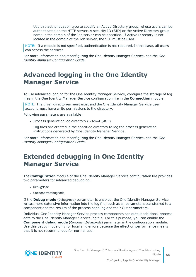Use this authentication type to specify an Active Directory group, whose users can be authenticated on the HTTP server. A security ID (SID) or the Active Directory group name in the domain of the Job server can be specified. If Active Directory is not located in the domain of the Job server, the SID must be used.

NOTE: If a module is not specified, authentication is not required. In this case, all users can access the services.

For more information about configuring the One Identity Manager Service, see the *One Identity Manager Configuration Guide*.

### <span id="page-49-0"></span>**Advanced logging in the One Identity Manager Service**

To use advanced logging for the One Identity Manager Service, configure the storage of log files in the One Identity Manager Service configuration file in the **Connection** module.

NOTE: The given directories must exist and the One Identity Manager Service user account must have write permissions to the directory.

Following parameters are available:

• Process generation log directory (JobGenLogDir)

Log files are created in the specified directory to log the process generation instructions generated by One Identity Manager Service.

For more information about configuring the One Identity Manager Service, see the *One Identity Manager Configuration Guide*.

### <span id="page-49-1"></span>**Extended debugging in One Identity Manager Service**

The **Configuration** module of the One Identity Manager Service configuration file provides two parameters for advanced debugging:

- DebugMode
- ComponentDebugMode

If the **Debug mode** (DebugMode) parameter is enabled, the One Identity Manager Service writes more extensive information into the log file, such as all parameters transferred to a component and the results of the process handling and their Out parameters.

Individual One Identity Manager Service process components can output additional process data to the One Identity Manager Service log file. For this purpose, you can enable the **Component debug mode** (ComponentDebugMode) parameter in the configuration module. Use this debug mode only for localizing errors because the effect on performance means that it is not recommended for normal use.

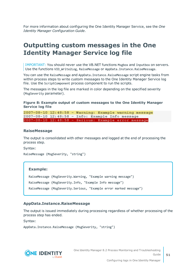For more information about configuring the One Identity Manager Service, see the *One Identity Manager Configuration Guide*.

### <span id="page-50-0"></span>**Outputting custom messages in the One Identity Manager Service log file**

IMPORTANT: You should never use the VB.NET functions Msgbox and Inputbox on servers. Use the functions VID\_Write2Log, RaiseMessage or AppData.Instance.RaiseMessage.

You can use the RaiseMessage and AppData. Instance. RaiseMessage script engine tasks from within process steps to write custom messages to the One Identity Manager Service log file. Use the ScriptComponent process component to run the scripts.

The messages in the log file are marked in color depending on the specified severity (MsgSeverity parameter).

### **Figure 8: Example output of custom messages to the One Identity Manager Service log file**

2007-08-10 12:48:58 - Warning: Example warning message 2007-08-10 12:48:58 - Info: Example Info message 2007-08-10 12:48:58 - Serious: Example error message

### **RaiseMessage**

The output is consolidated with other messages and logged at the end of processing the process step.

Syntax:

```
RaiseMessage (MsgSeverity, "string")
```
#### **Example:**

RaiseMessage (MsgSeverity.Warning, "Example warning message") RaiseMessage (MsgSeverity.Info, "Example Info message") RaiseMessage (MsgSeverity.Serious, "Example error marked message")

### **AppData.Instance.RaiseMessage**

The output is issued immediately during processing regardless of whether processing of the process step has ended.

Syntax:

```
AppData.Instance.RaiseMessage (MsgSeverity, "string")
```


One Identity Manager 8.2 Process Monitoring and Troubleshooting Guide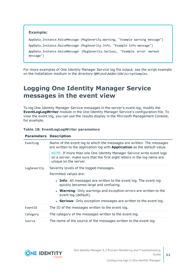### **Example:** AppData.Instance.RaiseMessage (MsgSeverity.Warning, "Example warning message") AppData.Instance.RaiseMessage (MsgSeverity.Info, "Example Info message") AppData.Instance.RaiseMessage (MsgSeverity.Serious, "Example error marked message")

For more examples of One Identity Manager Service log file output, see the script example on the installation medium in the directory QBM\dvd\AddOn\SDK\ScriptSamples.

### <span id="page-51-0"></span>**Logging One Identity Manager Service messages in the event view**

To log One Identity Manager Service messages in the server's event log, modify the **EventLogLogWriter** module in the One Identity Manager Service's configuration file. To view the event log, you can use the results display in the Microsoft Management Console, for example.

### **Table 18: EventLogLogWriter parameters**

| <b>Parameters Description</b> |                                                                                                                                                                          |
|-------------------------------|--------------------------------------------------------------------------------------------------------------------------------------------------------------------------|
| EventLog                      | Name of the event log to which the messages are written. The messages<br>are written to the application log with <b>Application</b> as the default value.                |
|                               | NOTE: If more than one One Identity Manager Service write event logs<br>on a server, make sure that the first eight letters in the log name are<br>unique on the server. |
| LogSeverity                   | Severity levels of the logged messages.                                                                                                                                  |
|                               | Permitted values are:                                                                                                                                                    |
|                               | • Info: All messages are written to the event log. The event log<br>quickly becomes large and confusing.                                                                 |
|                               | • Warning: Only warnings and exception errors are written to the<br>event log (default).                                                                                 |
|                               | • Serious: Only exception messages are written to the event log.                                                                                                         |
| EventID                       | The ID of the messages written to the event log.                                                                                                                         |
| Category                      | The category of the messages written to the event log.                                                                                                                   |
| Source                        | The name of the source of the messages written to the event log.                                                                                                         |

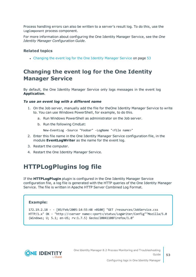Process handling errors can also be written to a server's result log. To do this, use the LogComponent process component.

For more information about configuring the One Identity Manager Service, see the *One Identity Manager Configuration Guide*.

### **Related topics**

• [Changing](#page-52-0) the event log for the One Identity Manager Service on page 53

### <span id="page-52-0"></span>**Changing the event log for the One Identity Manager Service**

By default, the One Identity Manager Service only logs messages in the event log **Application**.

#### *To use an event log with a different name*

- 1. On the Job server, manually add the file for theOne Identity Manager Service to write to. You can use Windows PowerShell, for example, to do this.
	- a. Run Windows PowerShell as administrator on the Job server.
	- b. Run the following CmdLet:

New-EventLog -Source "Foobar" -LogName "<file name>"

- 2. Enter this file name in the One Identity Manager Service configuration file, in the module **EventLogWriter** as the name for the event log.
- 3. Restart the computer.
- <span id="page-52-1"></span>4. Restart the One Identity Manager Service.

### **HTTPLogPlugins log file**

If the **HTTPLogPlugin** plugin is configured in the One Identity Manager Service configuration file, a log file is generated with the HTTP queries of the One Identity Manager Service. The file is written in Apache HTTP Server Combined Log Format.

### **Example:**

```
172.19.2.18 - - [03/Feb/2005:14:55:48 +0100] "GET /resources/JobService.css
HTTP/1.x" OK - "http://<server name>:<port>/status/LogWriter/Config""Mozilla/5.0
(Windows; U; 5.1; en-US; rv:1.7.5) Gecko/20041108Firefox/1.0"
```


One Identity Manager 8.2 Process Monitoring and Troubleshooting Guide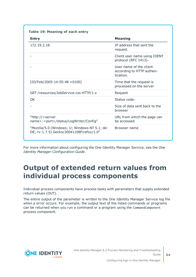| <b>Entry</b>                                                                              | <b>Meaning</b>                                                    |  |
|-------------------------------------------------------------------------------------------|-------------------------------------------------------------------|--|
| 172.19.2.18                                                                               | IP address that sent the<br>request.                              |  |
|                                                                                           | Client user name using IDENT<br>protocol (RFC 1413)-              |  |
|                                                                                           | User name of the client<br>according to HTTP authen-<br>tication. |  |
| $[03/Feb/2005:14:55:48 + 0100]$                                                           | Time that the request is<br>processed on the server               |  |
| GET /resources/JobService.css HTTP/1.x                                                    | Request                                                           |  |
| OK.                                                                                       | Status code-                                                      |  |
|                                                                                           | Size of data sent back to the<br>browser                          |  |
| "http:// <server<br>name&gt;:<port>/status/LogWriter/Config"</port></server<br>           | URL from which the page can<br>be accessed                        |  |
| "Mozilla/5.0 (Windows; U; Windows NT 5.1; de-<br>DE; rv:1.7.5) Gecko/20041108Firefox/1.0" | Browser name                                                      |  |

For more information about configuring the One Identity Manager Service, see the *One Identity Manager Configuration Guide*.

## <span id="page-53-0"></span>**Output of extended return values from individual process components**

Individual process components have process tasks with parameters that supply extended return values (OUT).

The entire output of the parameter is written to the One Identity Manager Service log file when a error occurs. For example, the output text of the listed commands or programs can be returned when you run a command or a program using the CommandComponent process component.

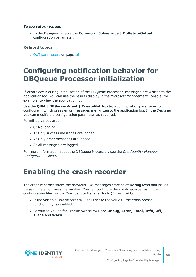### *To log return values*

<sup>l</sup> In the Designer, enable the **Common | Jobservice | DoReturnOutput** configuration parameter.

### **Related topics**

• OUT [parameters](#page-15-1) on page 16

## <span id="page-54-0"></span>**Configuring notification behavior for DBQueue Processor initialization**

If errors occur during initialization of the DBQueue Processor, messages are written to the application log. You can use the results display in the Microsoft Management Console, for example, to view the application log.

Use the **QBM | DBServerAgent | CreateNotification** configuration parameter to configure in which cases error messages are written to the application log. In the Designer, you can modify the configuration parameter as required.

Permitted values are:

- $\cdot$  **0**: No logging.
- **1**: Only success messages are logged.
- 2: Only error messages are logged.
- 3: All messages are logged.

For more information about the DBQueue Processor, see the *One Identity Manager Configuration Guide*.

## <span id="page-54-1"></span>**Enabling the crash recorder**

The crash recorder saves the previous **128** messages starting at **Debug** level and issues these in the error message window. You can configure the crash recorder using the configuration files for the One Identity Manager tools (\*.exe.config).

- <sup>l</sup> If the variable CrashRecorderBuffer is set to the value **0**, the crash record functionality is disabled.
- <sup>l</sup> Permitted values for CrashRecorderLevel are **Debug**, **Error**, **Fatal**, **Info**, **Off**, **Trace** and **Warn**.

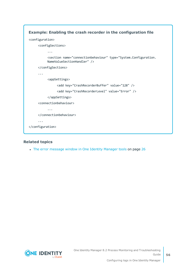

### **Related topics**

• The error [message](#page-25-1) window in One Identity Manager tools on page 26

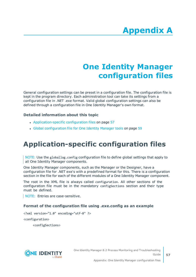# **Appendix:One Identity Manager configuration files**

<span id="page-56-0"></span>General configuration settings can be preset in a configuration file. The configuration file is kept in the program directory. Each administration tool can take its settings from a configuration file in .NET .exe format. Valid global configuration settings can also be defined through a configuration file in One Identity Manager's own format.

### **Detailed information about this topic**

- [Application-specific](#page-56-1) configuration files on page 57
- Global [configuration](#page-58-0) file for One Identity Manager tools on page 59

# <span id="page-56-1"></span>**Application-specific configuration files**

NOTE: Use the globallog.config configuration file to define global settings that apply to all One Identity Manager components.

One Identity Manager components, such as the Manager or the Designer, have a configuration file for .NET exe's with a predefined format for this. There is a configuration section in the file for each of the different modules of a One Identity Manager component.

The root in the XML file is always called configuration. All other sections of the configuration file must be in the mandatory configSections section and their type must be defined.

NOTE: Entries are case-sensitive.

### **Format of the configuration file using .exe.config as an example**

<?xml version="1.0" encoding="utf-8" ?>

<configuration>

<configSections>



**57**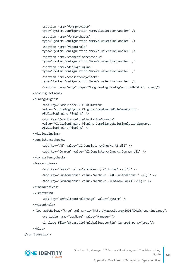```
<section name="formprovider"
     type="System.Configuration.NameValueSectionHandler" />
     <section name="formarchives"
     type="System.Configuration.NameValueSectionHandler" />
     <section name="vicontrols"
     type="System.Configuration.NameValueSectionHandler" />
     <section name="connectionbehaviour"
     type="System.Configuration.NameValueSectionHandler" />
     <section name="dialogplugins"
     type="System.Configuration.NameValueSectionHandler" />
     <section name="consistencychecks"
     type="System.Configuration.NameValueSectionHandler" />
     <section name="nlog" type="NLog.Config.ConfigSectionHandler, NLog"/>
</configSections>
<dialogplugins>
     <add key="ComplianceRuleSimulation"
     value="VI.DialogEngine.Plugins.ComplianceRuleSimulation,
     AE.DialogEngine.Plugins" />
     <add key="ComplianceRuleSimulationSummary"
     value="VI.DialogEngine.Plugins.ComplianceRuleSimulationSummary,
     AE.DialogEngine.Plugins" />
</dialogplugins>
<consistencychecks>
     <add key="AE" value="VI.ConsistencyChecks.AE.dll" />
     <add key="Common" value="VI.ConsistencyChecks.Common.dll" />
</consistencychecks>
<formarchives>
     <add key="Forms" value="archive:.\???.Forms*.vif;10" />
     <add key="CustomForms" value="archive:.\AE.CustomForms.*.vif;5" />
     <add key="CommonForms" value="archive:.\Common.Forms*.vif;5" />
</formarchives>
<vicontrols>
     <add key="defaultcontroldesign" value="System" />
</vicontrols>
```

```
<nlog autoReload="true" xmlns:xsi="http://www.w3.org/2001/XMLSchema-instance">
     <variable name="appName" value="Manager"/>
```

```
<include file="${basedir}/globallog.config" ignoreErrors="true"/>
```

```
</nlog>
```
</configuration>

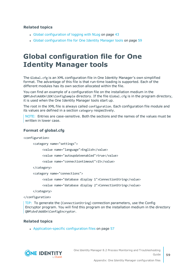### **Related topics**

- $\cdot$  Global [configuration](#page-42-0) of logging with NLog on page 43
- Global [configuration](#page-58-0) file for One Identity Manager tools on page 59

## <span id="page-58-0"></span>**Global configuration file for One Identity Manager tools**

The Global.cfg is an XML configuration file in One Identity Manager's own simplified format. The advantage of this file is that run-time loading is supported. Each of the different modules has its own section allocated within the file.

You can find an example of a configuration file on the installation medium in the QBM\dvd\AddOn\SDK\ConfigSample directory. If the file Global.cfg is in the program directory, it is used when the One Identity Manager tools start up.

The root in the XML file is always called configuration. Each configuration file module and its values are defined in a section category respectively.

NOTE: Entries are case-sensitive. Both the sections and the names of the values must be written in lower case.

### **Format of global.cfg**

<configuration>

<category name="settings">

<value name="language">English</value>

<value name="autoupdateenabled">true</value>

<value name="connectiontimeout">15</value>

</category>

<category name="connections">

<value name="database display 1">ConnectionString</value>

<value name="database display 2">ConnectionString</value>

</category>

</configuration>

TIP: To generate the (ConnectionString) connection parameters, use the Config Encryptor program. You will find this program on the installation medium in the directory QBM\dvd\AddOn\ConfigEncryptor.

### **Related topics**

• [Application-specific](#page-56-1) configuration files on page 57



One Identity Manager 8.2 Process Monitoring and Troubleshooting Guide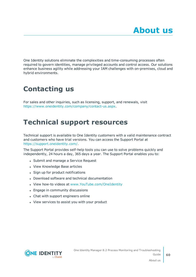<span id="page-59-0"></span>One Identity solutions eliminate the complexities and time-consuming processes often required to govern identities, manage privileged accounts and control access. Our solutions enhance business agility while addressing your IAM challenges with on-premises, cloud and hybrid environments.

# <span id="page-59-1"></span>**Contacting us**

For sales and other inquiries, such as licensing, support, and renewals, visit <https://www.oneidentity.com/company/contact-us.aspx>.

## <span id="page-59-2"></span>**Technical support resources**

Technical support is available to One Identity customers with a valid maintenance contract and customers who have trial versions. You can access the Support Portal at [https://support.oneidentity.com/.](https://support.oneidentity.com/)

The Support Portal provides self-help tools you can use to solve problems quickly and independently, 24 hours a day, 365 days a year. The Support Portal enables you to:

- Submit and manage a Service Request
- View Knowledge Base articles
- Sign up for product notifications
- Download software and technical documentation
- View how-to videos at [www.YouTube.com/OneIdentity](http://www.youtube.com/OneIdentity)
- Engage in community discussions
- Chat with support engineers online
- View services to assist you with your product

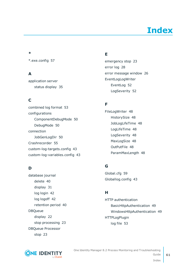# **Index**

### <span id="page-60-0"></span>**\***

\*.exe.config [57](#page-56-0)

### **A**

application server status display [35](#page-34-0)

### **C**

combined log format [53](#page-52-1) configurations ComponentDebugMode [50](#page-49-1) DebugMode [50](#page-49-1) connection JobGenLogDir [50](#page-49-0) Crashrecorder [55](#page-54-1) custom-log-targets.config [43](#page-42-0) custom-log-variables.config [43](#page-42-0)

### **D**

database journal delete [40](#page-39-1) display [31](#page-30-0) log login [42](#page-41-0) log logoff [42](#page-41-0) retention period [40](#page-39-1) DBQueue display [22](#page-21-1) stop processing [23](#page-22-1) DBQueue Processor stop [23](#page-22-1)

### **E**

emergency stop [23](#page-22-1) error log [28](#page-27-0) error message window [26](#page-25-1) EventLogLogWriter EventLog [52](#page-51-0) LogSeverity [52](#page-51-0)

### **F**

FileLogWriter [48](#page-47-0) HistorySize [48](#page-47-0) JobLogLifeTime [48](#page-47-0) LogLifeTime [48](#page-47-0) LogSeverity [48](#page-47-0) MaxLogSize [48](#page-47-0) OutPutFile [48](#page-47-0) ParamMaxLength [48](#page-47-0)

### **G**

Global.cfg [59](#page-58-0) Globallog.config [43](#page-42-0)

### **H**

HTTP authentication BasicHttpAuthentication [49](#page-48-0) WindowsHttpAuthentication [49](#page-48-0) HTTPLogPlugin log file [53](#page-52-1)



One Identity Manager 8.2 Process Monitoring and Troubleshooting Guide Index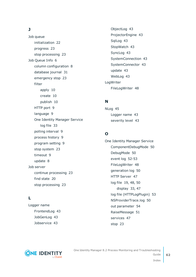### **J**

Job queue initialization [22](#page-21-0) progress [23](#page-22-0) stop processing [23](#page-22-1) Job Queue Info [6](#page-5-1) column configuration [8](#page-7-1) database journal [31](#page-30-0) emergency stop [23](#page-22-1) filter apply [10](#page-9-0) create [10](#page-9-0) publish [10](#page-9-0) HTTP port [9](#page-8-0) language [9](#page-8-0) One Identity Manager Service log file [33](#page-32-0) polling interval [9](#page-8-0) process history [9](#page-8-0) program setting [9](#page-8-0) stop system [23](#page-22-1) timeout [9](#page-8-0) update [8](#page-7-0) Job server continue processing [23](#page-22-1) find state [20](#page-19-0) stop processing [23](#page-22-1)

### **L**

Logger name FrontendLog [43](#page-42-0) JobGenLog [43](#page-42-0) Jobservice [43](#page-42-0)

ObjectLog [43](#page-42-0) ProjectorEngine [43](#page-42-0) SqlLog [43](#page-42-0) StopWatch [43](#page-42-0) SyncLog [43](#page-42-0) SystemConnection [43](#page-42-0) SystemConnector [43](#page-42-0) update [43](#page-42-0) WebLog [43](#page-42-0) LogWriter FileLogWriter [48](#page-47-0)

### **N**

NLog [45](#page-44-0) Logger name [43](#page-42-0) severity level [43](#page-42-0)

### **O**

One Identity Manager Service ComponentDebugMode [50](#page-49-1) DebugMode [50](#page-49-1) event log [52-53](#page-51-0) FileLogWriter [48](#page-47-0) generation log [50](#page-49-0) HTTP Server [47](#page-46-0) log file [19](#page-18-0), [48](#page-47-0), [50](#page-49-1) display [33](#page-32-0), [47](#page-46-0) log file (HTTPLogPlugin) [53](#page-52-1) NSProviderTrace.log [50](#page-49-1) out parameter [54](#page-53-0) RaiseMessage [51](#page-50-0) services [47](#page-46-0) stop [23](#page-22-1)



One Identity Manager 8.2 Process Monitoring and Troubleshooting Guide Index